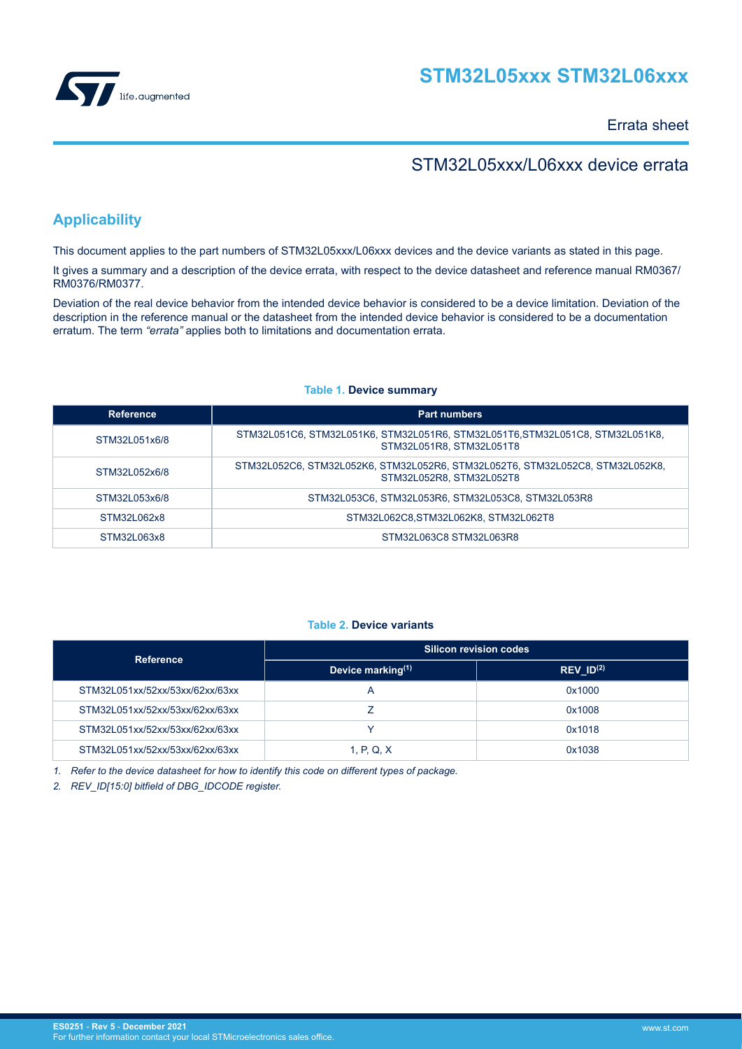

Errata sheet

# STM32L05xxx/L06xxx device errata

# **Applicability**

This document applies to the part numbers of STM32L05xxx/L06xxx devices and the device variants as stated in this page.

It gives a summary and a description of the device errata, with respect to the device datasheet and reference manual RM0367/ RM0376/RM0377.

Deviation of the real device behavior from the intended device behavior is considered to be a device limitation. Deviation of the description in the reference manual or the datasheet from the intended device behavior is considered to be a documentation erratum. The term *"errata"* applies both to limitations and documentation errata.

| Reference     | <b>Part numbers</b>                                                                                       |
|---------------|-----------------------------------------------------------------------------------------------------------|
| STM32L051x6/8 | STM32L051C6, STM32L051K6, STM32L051R6, STM32L051T6, STM32L051C8, STM32L051K8,<br>STM32L051R8, STM32L051T8 |
| STM32L052x6/8 | STM32L052C6, STM32L052K6, STM32L052R6, STM32L052T6, STM32L052C8, STM32L052K8,<br>STM32L052R8, STM32L052T8 |
| STM32L053x6/8 | STM32L053C6, STM32L053R6, STM32L053C8, STM32L053R8                                                        |
| STM32L062x8   | STM32L062C8, STM32L062K8, STM32L062T8                                                                     |
| STM32L063x8   | STM32L063C8 STM32L063R8                                                                                   |

# **Table 1. Device summary**

# **Table 2. Device variants**

| <b>Reference</b>                | <b>Silicon revision codes</b> |                                    |  |  |
|---------------------------------|-------------------------------|------------------------------------|--|--|
|                                 | Device marking $(1)$          | $REV$ <sub>_ID<sup>(2)</sup></sub> |  |  |
| STM32L051xx/52xx/53xx/62xx/63xx |                               | 0x1000                             |  |  |
| STM32L051xx/52xx/53xx/62xx/63xx |                               | 0x1008                             |  |  |
| STM32L051xx/52xx/53xx/62xx/63xx |                               | 0x1018                             |  |  |
| STM32L051xx/52xx/53xx/62xx/63xx | 1, P, Q, X                    | 0x1038                             |  |  |

*1. Refer to the device datasheet for how to identify this code on different types of package.*

*2. REV\_ID[15:0] bitfield of DBG\_IDCODE register.*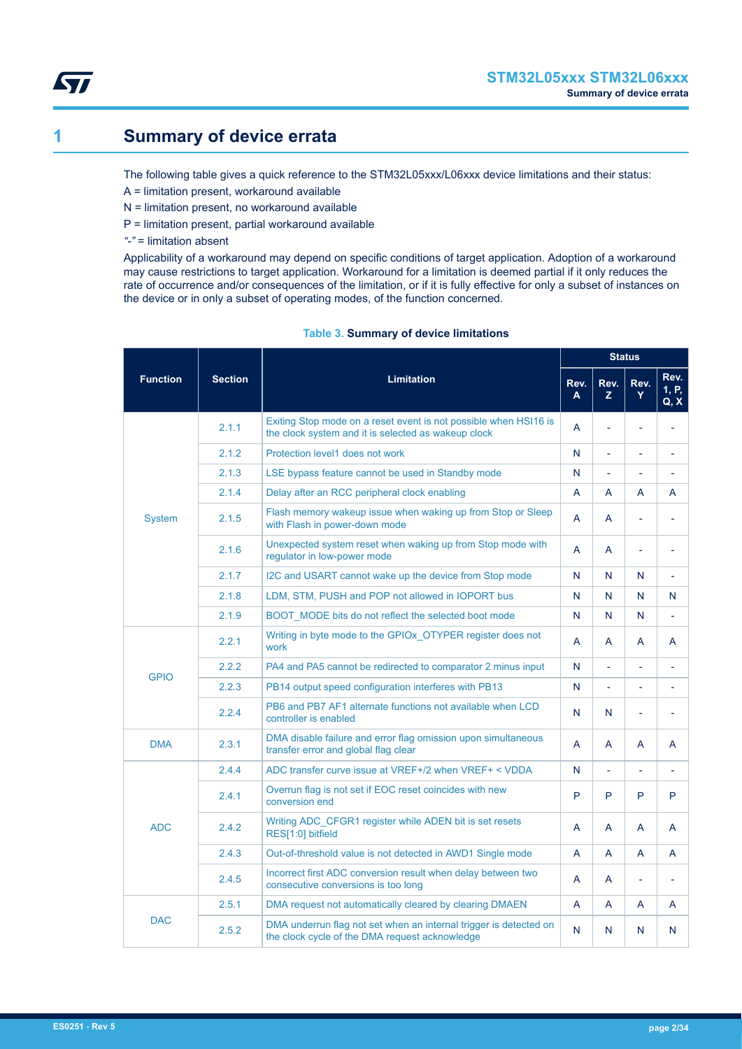<span id="page-1-0"></span>

# **1 Summary of device errata**

The following table gives a quick reference to the STM32L05xxx/L06xxx device limitations and their status:

- A = limitation present, workaround available
- N = limitation present, no workaround available
- P = limitation present, partial workaround available
- *"-"* = limitation absent

Applicability of a workaround may depend on specific conditions of target application. Adoption of a workaround may cause restrictions to target application. Workaround for a limitation is deemed partial if it only reduces the rate of occurrence and/or consequences of the limitation, or if it is fully effective for only a subset of instances on the device or in only a subset of operating modes, of the function concerned.

|                 |                | <b>Limitation</b><br>Rev.                                                                                               |   |                | <b>Status</b>            |                          |
|-----------------|----------------|-------------------------------------------------------------------------------------------------------------------------|---|----------------|--------------------------|--------------------------|
| <b>Function</b> | <b>Section</b> |                                                                                                                         |   | Rev.<br>Z.     | Rev.<br>Y                | Rev.<br>1, P,<br>Q, X    |
|                 | 2.1.1          | Exiting Stop mode on a reset event is not possible when HSI16 is<br>the clock system and it is selected as wakeup clock | A | L              | $\overline{\phantom{a}}$ | $\overline{\phantom{a}}$ |
|                 | 2.1.2          | Protection level1 does not work                                                                                         | N | L,             | L,                       | $\blacksquare$           |
|                 | 2.1.3          | LSE bypass feature cannot be used in Standby mode                                                                       | N | L,             | ٠                        |                          |
|                 | 2.1.4          | Delay after an RCC peripheral clock enabling                                                                            | A | A              | A                        | A                        |
| System          | 2.1.5          | Flash memory wakeup issue when waking up from Stop or Sleep<br>with Flash in power-down mode                            | A | A              | $\overline{\phantom{a}}$ | $\overline{a}$           |
|                 | 2.1.6          | Unexpected system reset when waking up from Stop mode with<br>regulator in low-power mode                               | A | A              | $\overline{\phantom{a}}$ | $\overline{a}$           |
|                 | 2.1.7          | I2C and USART cannot wake up the device from Stop mode                                                                  | N | N              | N                        | $\overline{\phantom{a}}$ |
|                 | 2.1.8          | LDM, STM, PUSH and POP not allowed in IOPORT bus                                                                        | N | N              | N                        | N                        |
|                 | 2.1.9          | BOOT MODE bits do not reflect the selected boot mode                                                                    | N | N              | N                        | $\overline{a}$           |
|                 | 2.2.1          | Writing in byte mode to the GPIOx OTYPER register does not<br>work                                                      | A | A              | A                        | A                        |
| <b>GPIO</b>     | 2.2.2          | PA4 and PA5 cannot be redirected to comparator 2 minus input                                                            | N | L,             | $\overline{\phantom{a}}$ | $\overline{\phantom{a}}$ |
|                 | 2.2.3          | PB14 output speed configuration interferes with PB13                                                                    | N | $\overline{a}$ | ÷,                       |                          |
|                 | 2.2.4          | PB6 and PB7 AF1 alternate functions not available when LCD<br>controller is enabled                                     | N | N              | $\overline{\phantom{a}}$ | $\overline{\phantom{a}}$ |
| <b>DMA</b>      | 2.3.1          | DMA disable failure and error flag omission upon simultaneous<br>transfer error and global flag clear                   | A | A              | A                        | A                        |
|                 | 2.4.4          | ADC transfer curve issue at VREF+/2 when VREF+ < VDDA                                                                   | N | L,             | ÷,                       | ٠                        |
|                 | 2.4.1          | Overrun flag is not set if EOC reset coincides with new<br>conversion end                                               | P | P              | P                        | P                        |
| ADC.            | 242            | Writing ADC CFGR1 register while ADEN bit is set resets<br>RES[1:0] bitfield                                            | A | A              | A                        | A                        |
|                 | 2.4.3          | Out-of-threshold value is not detected in AWD1 Single mode                                                              | A | A              | A                        | A                        |
|                 | 2.4.5          | Incorrect first ADC conversion result when delay between two<br>consecutive conversions is too long                     | A | A              | $\overline{\phantom{0}}$ | $\overline{\phantom{0}}$ |
|                 | 2.5.1          | DMA request not automatically cleared by clearing DMAEN                                                                 | A | A              | A                        | A                        |
| <b>DAC</b>      | 2.5.2          | DMA underrun flag not set when an internal trigger is detected on<br>the clock cycle of the DMA request acknowledge     | N | N              | N                        | N                        |

# **Table 3. Summary of device limitations**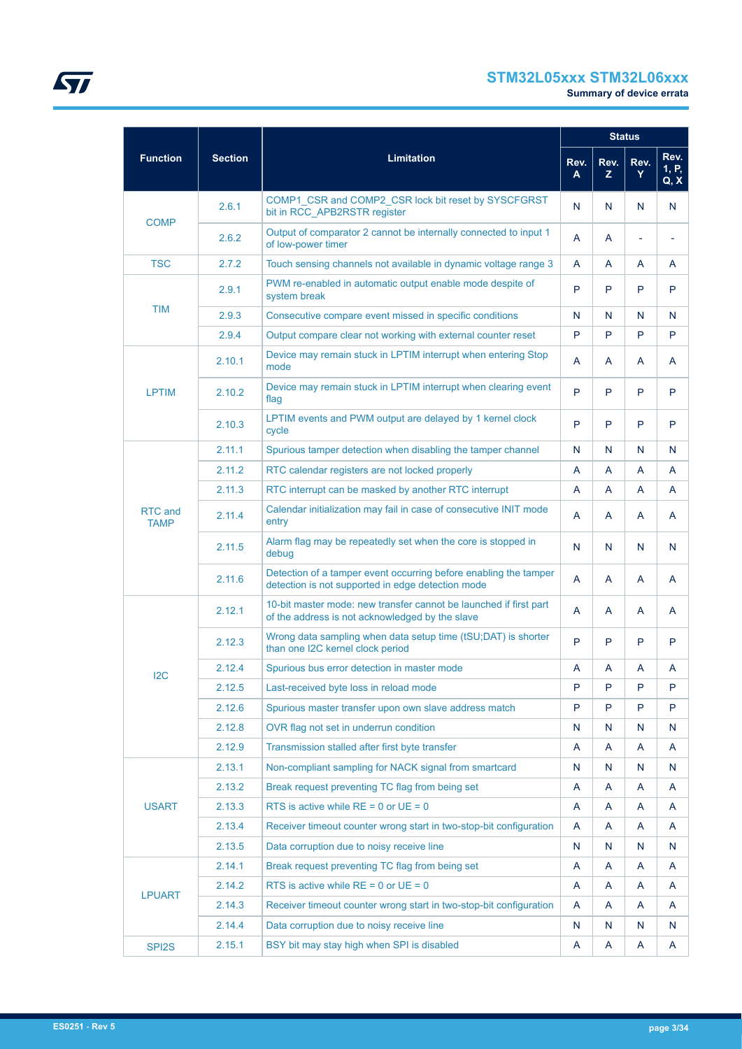# **STM32L05xxx STM32L06xxx**

|                        |                |                                                                                                                       |           |            | <b>Status</b> |                       |
|------------------------|----------------|-----------------------------------------------------------------------------------------------------------------------|-----------|------------|---------------|-----------------------|
| <b>Function</b>        | <b>Section</b> | <b>Limitation</b>                                                                                                     | Rev.<br>A | Rev.<br>Z. | Rev.<br>Y     | Rev.<br>1, P,<br>Q, X |
| <b>COMP</b>            | 2.6.1          | COMP1 CSR and COMP2 CSR lock bit reset by SYSCFGRST<br>bit in RCC APB2RSTR register                                   | N         | N          | N             | N                     |
|                        | 2.6.2          | Output of comparator 2 cannot be internally connected to input 1<br>of low-power timer                                | A         | A          | ä,            |                       |
| <b>TSC</b>             | 2.7.2          | Touch sensing channels not available in dynamic voltage range 3                                                       | A         | A          | A             | A                     |
|                        | 2.9.1          | PWM re-enabled in automatic output enable mode despite of<br>system break                                             | P         | P          | P             | P                     |
| <b>TIM</b>             | 2.9.3          | Consecutive compare event missed in specific conditions                                                               | N         | N          | N             | N                     |
|                        | 2.9.4          | Output compare clear not working with external counter reset                                                          | P         | P          | P             | P                     |
|                        | 2.10.1         | Device may remain stuck in LPTIM interrupt when entering Stop<br>mode                                                 | A         | A          | A             | A                     |
| <b>LPTIM</b>           | 2.10.2         | Device may remain stuck in LPTIM interrupt when clearing event<br>flag                                                | P         | P          | P             | P                     |
|                        | 2.10.3         | LPTIM events and PWM output are delayed by 1 kernel clock<br>cycle                                                    | P         | P          | P             | P                     |
|                        | 2.11.1         | Spurious tamper detection when disabling the tamper channel                                                           | N         | N          | N             | N                     |
|                        | 2.11.2         | RTC calendar registers are not locked properly                                                                        | A         | A          | A             | A                     |
|                        | 2.11.3         | RTC interrupt can be masked by another RTC interrupt                                                                  | A         | A          | A             | A                     |
| RTC and<br><b>TAMP</b> | 2.11.4         | Calendar initialization may fail in case of consecutive INIT mode<br>entry                                            | A         | A          | A             | A                     |
|                        | 2.11.5         | Alarm flag may be repeatedly set when the core is stopped in<br>debug                                                 | N         | N          | N             | N                     |
|                        | 2.11.6         | Detection of a tamper event occurring before enabling the tamper<br>detection is not supported in edge detection mode | A         | A          | A             | A                     |
|                        | 2.12.1         | 10-bit master mode: new transfer cannot be launched if first part<br>of the address is not acknowledged by the slave  | A         | A          | A             | A                     |
|                        | 2.12.3         | Wrong data sampling when data setup time (tSU;DAT) is shorter<br>than one I2C kernel clock period                     | P         | P          | P             | P                     |
| 12C                    | 2.12.4         | Spurious bus error detection in master mode                                                                           | A         | A          | A             | A                     |
|                        | 2.12.5         | Last-received byte loss in reload mode                                                                                | P         | P          | P             | P                     |
|                        | 2.12.6         | Spurious master transfer upon own slave address match                                                                 | P         | P          | P             | P                     |
|                        | 2.12.8         | OVR flag not set in underrun condition                                                                                | N         | N          | N             | N                     |
|                        | 2.12.9         | Transmission stalled after first byte transfer                                                                        | A         | A          | A             | A                     |
|                        | 2.13.1         | Non-compliant sampling for NACK signal from smartcard                                                                 | N         | N          | N             | N                     |
|                        | 2.13.2         | Break request preventing TC flag from being set                                                                       | A         | A          | A             | A                     |
| <b>USART</b>           | 2.13.3         | RTS is active while $RE = 0$ or $UE = 0$                                                                              | A         | A          | A             | A                     |
|                        | 2.13.4         | Receiver timeout counter wrong start in two-stop-bit configuration                                                    | A         | A          | A             | A                     |
|                        | 2.13.5         | Data corruption due to noisy receive line                                                                             | N         | N          | N             | N                     |
|                        | 2.14.1         | Break request preventing TC flag from being set                                                                       | A         | A          | A             | A                     |
|                        | 2.14.2         | RTS is active while $RE = 0$ or $UE = 0$                                                                              | A         | A          | A             | A                     |
| <b>LPUART</b>          | 2.14.3         | Receiver timeout counter wrong start in two-stop-bit configuration                                                    | A         | A          | A             | A                     |
|                        | 2.14.4         | Data corruption due to noisy receive line                                                                             | N         | N          | N             | N                     |
| SPI <sub>2</sub> S     | 2.15.1         | BSY bit may stay high when SPI is disabled                                                                            | A         | A          | A             | A                     |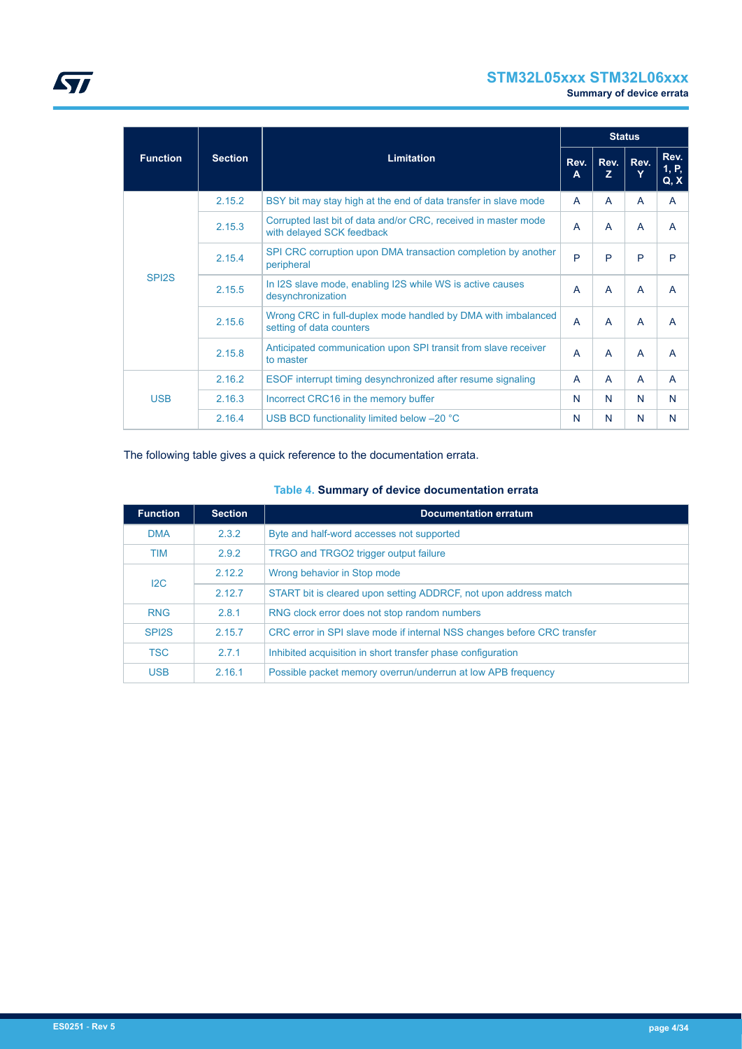# **STM32L05xxx STM32L06xxx**

**Summary of device errata**

|                    |                |                                                                                             |                |                | <b>Status</b> |                       |
|--------------------|----------------|---------------------------------------------------------------------------------------------|----------------|----------------|---------------|-----------------------|
| <b>Function</b>    | <b>Section</b> | <b>Limitation</b>                                                                           | Rev.<br>A      | Rev.<br>z      | Rev.<br>Y     | Rev.<br>1, P,<br>Q, X |
|                    | 2.15.2         | BSY bit may stay high at the end of data transfer in slave mode                             | A              | A              | A             | A                     |
|                    | 2.15.3         | Corrupted last bit of data and/or CRC, received in master mode<br>with delayed SCK feedback | A              | A              | A             | A                     |
|                    | 2.15.4         | SPI CRC corruption upon DMA transaction completion by another<br>peripheral                 | P              | P              | P             | P                     |
| SPI <sub>2</sub> S | 2.15.5         | In I2S slave mode, enabling I2S while WS is active causes<br>desynchronization              | A              | $\overline{A}$ | A             | $\overline{A}$        |
|                    | 2.15.6         | Wrong CRC in full-duplex mode handled by DMA with imbalanced<br>setting of data counters    | $\overline{A}$ | A              | A             | A                     |
|                    | 2.15.8         | Anticipated communication upon SPI transit from slave receiver<br>to master                 | A              | A              | A             | A                     |
| <b>USB</b>         | 2.16.2         | ESOF interrupt timing desynchronized after resume signaling                                 | A              | A              | A             | A                     |
|                    | 2.16.3         | Incorrect CRC16 in the memory buffer                                                        | N              | N              | N             | N                     |
|                    | 2.16.4         | USB BCD functionality limited below -20 °C                                                  | N              | N              | N             | N                     |

The following table gives a quick reference to the documentation errata.

# **Table 4. Summary of device documentation errata**

| <b>Function</b>    | <b>Section</b> | <b>Documentation erratum</b>                                            |
|--------------------|----------------|-------------------------------------------------------------------------|
| <b>DMA</b>         | 2.3.2          | Byte and half-word accesses not supported                               |
| <b>TIM</b>         | 2.9.2          | TRGO and TRGO2 trigger output failure                                   |
| 12C                | 2.12.2         | Wrong behavior in Stop mode                                             |
|                    | 2.12.7         | START bit is cleared upon setting ADDRCF, not upon address match        |
| <b>RNG</b>         | 2.8.1          | RNG clock error does not stop random numbers                            |
| SPI <sub>2</sub> S | 2.15.7         | CRC error in SPI slave mode if internal NSS changes before CRC transfer |
| <b>TSC</b>         | 271            | Inhibited acquisition in short transfer phase configuration             |
| <b>USB</b>         | 2.16.1         | Possible packet memory overrun/underrun at low APB frequency            |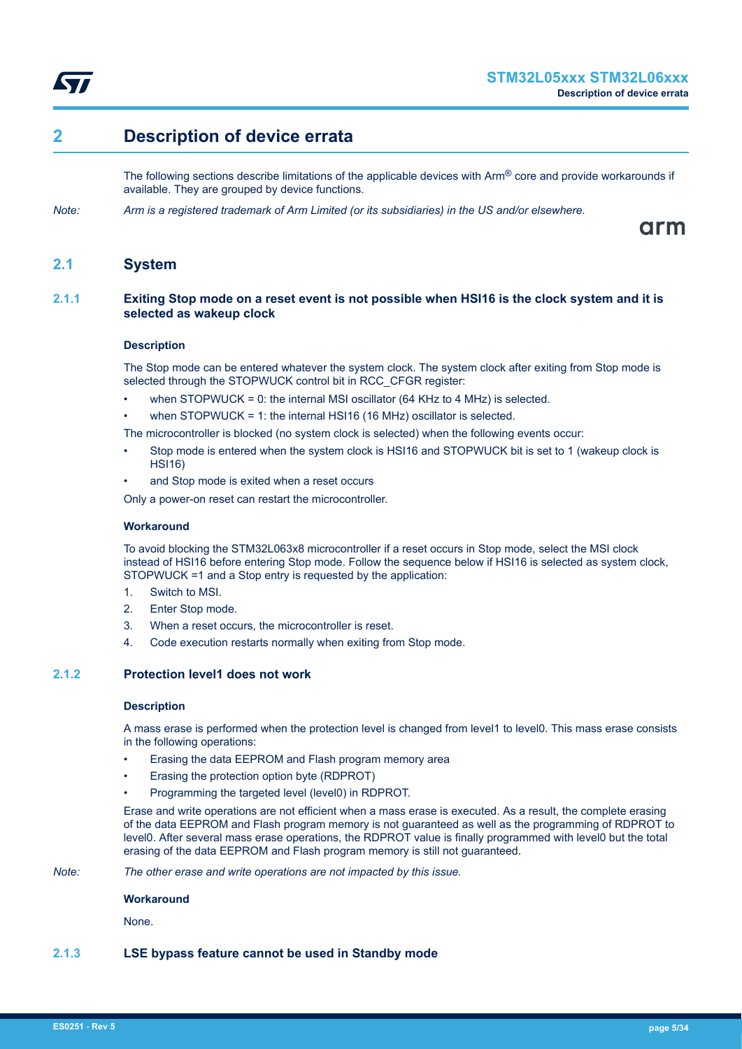<span id="page-4-0"></span>

# **2 Description of device errata**

The following sections describe limitations of the applicable devices with  $Arm^@$  core and provide workarounds if available. They are grouped by device functions.

*Note: Arm is a registered trademark of Arm Limited (or its subsidiaries) in the US and/or elsewhere.*

arm

# **2.1 System**

# **2.1.1 Exiting Stop mode on a reset event is not possible when HSI16 is the clock system and it is selected as wakeup clock**

# **Description**

The Stop mode can be entered whatever the system clock. The system clock after exiting from Stop mode is selected through the STOPWUCK control bit in RCC\_CFGR register:

- when STOPWUCK = 0: the internal MSI oscillator  $(64 \text{ KHz}$  to 4 MHz) is selected.
- when STOPWUCK = 1: the internal HSI16 (16 MHz) oscillator is selected.

The microcontroller is blocked (no system clock is selected) when the following events occur:

- Stop mode is entered when the system clock is HSI16 and STOPWUCK bit is set to 1 (wakeup clock is HSI16)
- and Stop mode is exited when a reset occurs

Only a power-on reset can restart the microcontroller.

#### **Workaround**

To avoid blocking the STM32L063x8 microcontroller if a reset occurs in Stop mode, select the MSI clock instead of HSI16 before entering Stop mode. Follow the sequence below if HSI16 is selected as system clock, STOPWUCK =1 and a Stop entry is requested by the application:

- 1. Switch to MSI.
- 2. Enter Stop mode.
- 3. When a reset occurs, the microcontroller is reset.
- 4. Code execution restarts normally when exiting from Stop mode.

# **2.1.2 Protection level1 does not work**

#### **Description**

A mass erase is performed when the protection level is changed from level1 to level0. This mass erase consists in the following operations:

- Erasing the data EEPROM and Flash program memory area
- Erasing the protection option byte (RDPROT)
- Programming the targeted level (level0) in RDPROT.

Erase and write operations are not efficient when a mass erase is executed. As a result, the complete erasing of the data EEPROM and Flash program memory is not guaranteed as well as the programming of RDPROT to level0. After several mass erase operations, the RDPROT value is finally programmed with level0 but the total erasing of the data EEPROM and Flash program memory is still not guaranteed.

*Note: The other erase and write operations are not impacted by this issue.*

#### **Workaround**

None.

# **2.1.3 LSE bypass feature cannot be used in Standby mode**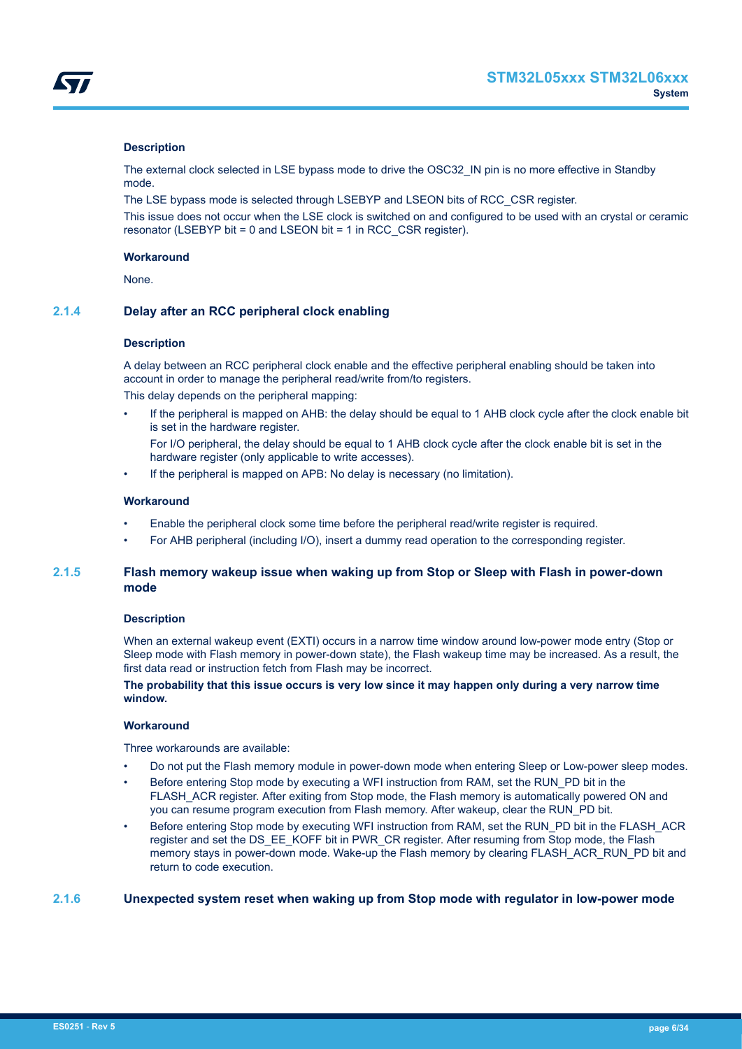<span id="page-5-0"></span>

# **Description**

The external clock selected in LSE bypass mode to drive the OSC32 IN pin is no more effective in Standby mode.

The LSE bypass mode is selected through LSEBYP and LSEON bits of RCC\_CSR register.

This issue does not occur when the LSE clock is switched on and configured to be used with an crystal or ceramic resonator (LSEBYP bit = 0 and LSEON bit = 1 in RCC\_CSR register).

#### **Workaround**

None.

# **2.1.4 Delay after an RCC peripheral clock enabling**

#### **Description**

A delay between an RCC peripheral clock enable and the effective peripheral enabling should be taken into account in order to manage the peripheral read/write from/to registers.

This delay depends on the peripheral mapping:

• If the peripheral is mapped on AHB: the delay should be equal to 1 AHB clock cycle after the clock enable bit is set in the hardware register.

For I/O peripheral, the delay should be equal to 1 AHB clock cycle after the clock enable bit is set in the hardware register (only applicable to write accesses).

If the peripheral is mapped on APB: No delay is necessary (no limitation).

# **Workaround**

- Enable the peripheral clock some time before the peripheral read/write register is required.
- For AHB peripheral (including I/O), insert a dummy read operation to the corresponding register.

# **2.1.5 Flash memory wakeup issue when waking up from Stop or Sleep with Flash in power-down mode**

#### **Description**

When an external wakeup event (EXTI) occurs in a narrow time window around low-power mode entry (Stop or Sleep mode with Flash memory in power-down state), the Flash wakeup time may be increased. As a result, the first data read or instruction fetch from Flash may be incorrect.

# **The probability that this issue occurs is very low since it may happen only during a very narrow time window.**

# **Workaround**

Three workarounds are available:

- Do not put the Flash memory module in power-down mode when entering Sleep or Low-power sleep modes.
- Before entering Stop mode by executing a WFI instruction from RAM, set the RUN PD bit in the FLASH\_ACR register. After exiting from Stop mode, the Flash memory is automatically powered ON and you can resume program execution from Flash memory. After wakeup, clear the RUN\_PD bit.
- Before entering Stop mode by executing WFI instruction from RAM, set the RUN\_PD bit in the FLASH\_ACR register and set the DS\_EE\_KOFF bit in PWR\_CR register. After resuming from Stop mode, the Flash memory stays in power-down mode. Wake-up the Flash memory by clearing FLASH\_ACR\_RUN\_PD bit and return to code execution.

#### **2.1.6 Unexpected system reset when waking up from Stop mode with regulator in low-power mode**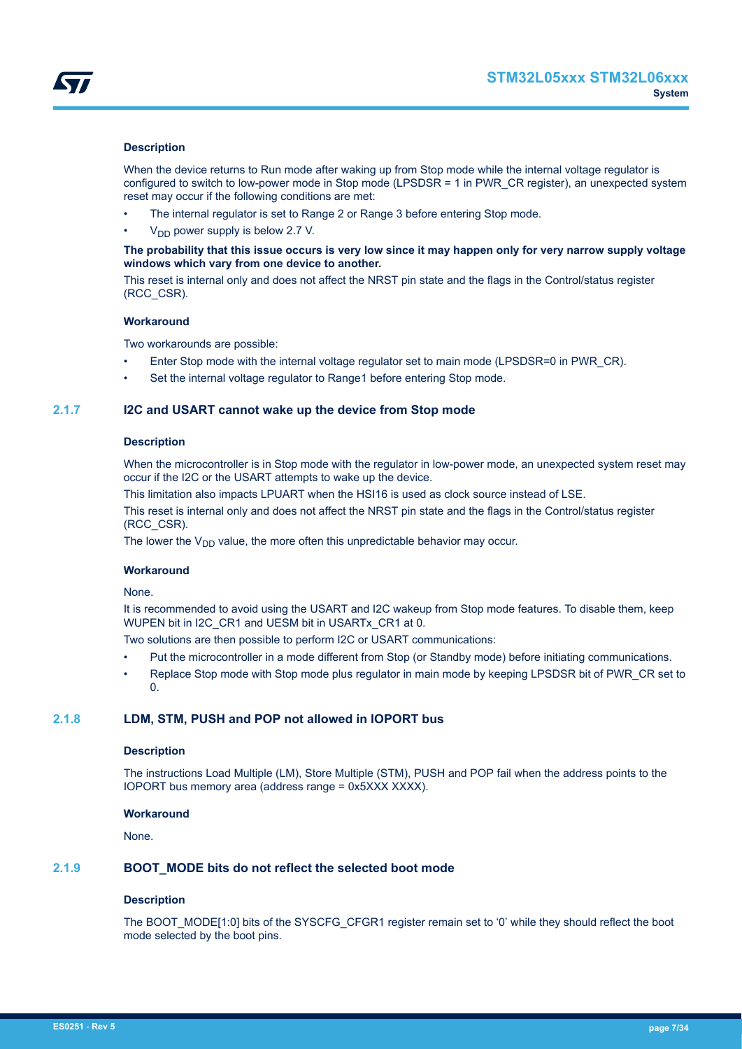<span id="page-6-0"></span>

### **Description**

When the device returns to Run mode after waking up from Stop mode while the internal voltage regulator is configured to switch to low-power mode in Stop mode (LPSDSR = 1 in PWR\_CR register), an unexpected system reset may occur if the following conditions are met:

- The internal regulator is set to Range 2 or Range 3 before entering Stop mode.
- $V<sub>DD</sub>$  power supply is below 2.7 V.

# **The probability that this issue occurs is very low since it may happen only for very narrow supply voltage windows which vary from one device to another.**

This reset is internal only and does not affect the NRST pin state and the flags in the Control/status register (RCC\_CSR).

# **Workaround**

Two workarounds are possible:

- Enter Stop mode with the internal voltage regulator set to main mode (LPSDSR=0 in PWR\_CR).
- Set the internal voltage regulator to Range1 before entering Stop mode.

# **2.1.7 I2C and USART cannot wake up the device from Stop mode**

### **Description**

When the microcontroller is in Stop mode with the regulator in low-power mode, an unexpected system reset may occur if the I2C or the USART attempts to wake up the device.

This limitation also impacts LPUART when the HSI16 is used as clock source instead of LSE.

This reset is internal only and does not affect the NRST pin state and the flags in the Control/status register (RCC\_CSR).

The lower the  $V_{DD}$  value, the more often this unpredictable behavior may occur.

#### **Workaround**

#### None.

It is recommended to avoid using the USART and I2C wakeup from Stop mode features. To disable them, keep WUPEN bit in I2C\_CR1 and UESM bit in USARTx\_CR1 at 0.

Two solutions are then possible to perform I2C or USART communications:

- Put the microcontroller in a mode different from Stop (or Standby mode) before initiating communications.
- Replace Stop mode with Stop mode plus regulator in main mode by keeping LPSDSR bit of PWR\_CR set to  $\Omega$

# **2.1.8 LDM, STM, PUSH and POP not allowed in IOPORT bus**

#### **Description**

The instructions Load Multiple (LM), Store Multiple (STM), PUSH and POP fail when the address points to the IOPORT bus memory area (address range = 0x5XXX XXXX).

# **Workaround**

None.

# **2.1.9 BOOT\_MODE bits do not reflect the selected boot mode**

# **Description**

The BOOT\_MODE[1:0] bits of the SYSCFG\_CFGR1 register remain set to '0' while they should reflect the boot mode selected by the boot pins.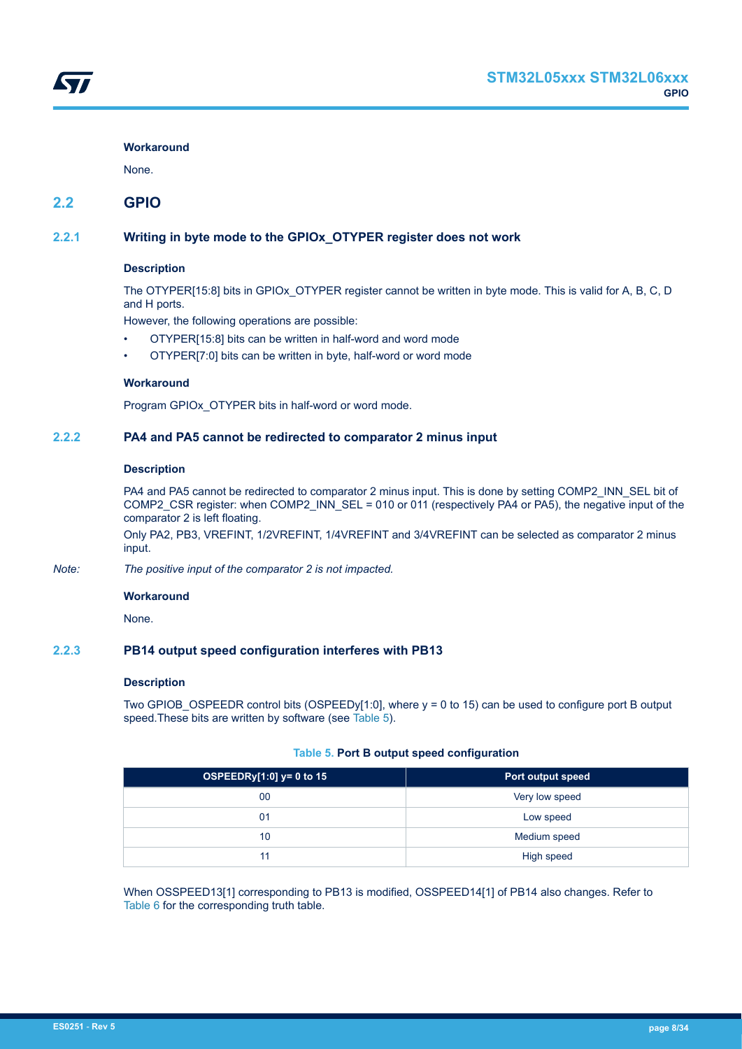### <span id="page-7-0"></span>**Workaround**

None.

# **2.2 GPIO**

# **2.2.1 Writing in byte mode to the GPIOx\_OTYPER register does not work**

# **Description**

The OTYPER[15:8] bits in GPIOx\_OTYPER register cannot be written in byte mode. This is valid for A, B, C, D and H ports.

However, the following operations are possible:

- OTYPER[15:8] bits can be written in half-word and word mode
- OTYPER[7:0] bits can be written in byte, half-word or word mode

# **Workaround**

Program GPIOx\_OTYPER bits in half-word or word mode.

# **2.2.2 PA4 and PA5 cannot be redirected to comparator 2 minus input**

# **Description**

PA4 and PA5 cannot be redirected to comparator 2 minus input. This is done by setting COMP2\_INN\_SEL bit of COMP2\_CSR register: when COMP2\_INN\_SEL = 010 or 011 (respectively PA4 or PA5), the negative input of the comparator 2 is left floating.

Only PA2, PB3, VREFINT, 1/2VREFINT, 1/4VREFINT and 3/4VREFINT can be selected as comparator 2 minus input.

*Note: The positive input of the comparator 2 is not impacted.*

#### **Workaround**

None.

# **2.2.3 PB14 output speed configuration interferes with PB13**

# **Description**

Two GPIOB\_OSPEEDR control bits (OSPEEDy[1:0], where y = 0 to 15) can be used to configure port B output speed.These bits are written by software (see Table 5).

#### **Table 5. Port B output speed configuration**

| OSPEEDRy $[1:0]$ y= 0 to 15 | Port output speed |
|-----------------------------|-------------------|
| 00                          | Very low speed    |
| 01                          | Low speed         |
| 10                          | Medium speed      |
| 11                          | High speed        |

When OSSPEED13[1] corresponding to PB13 is modified, OSSPEED14[1] of PB14 also changes. Refer to [Table 6](#page-8-0) for the corresponding truth table.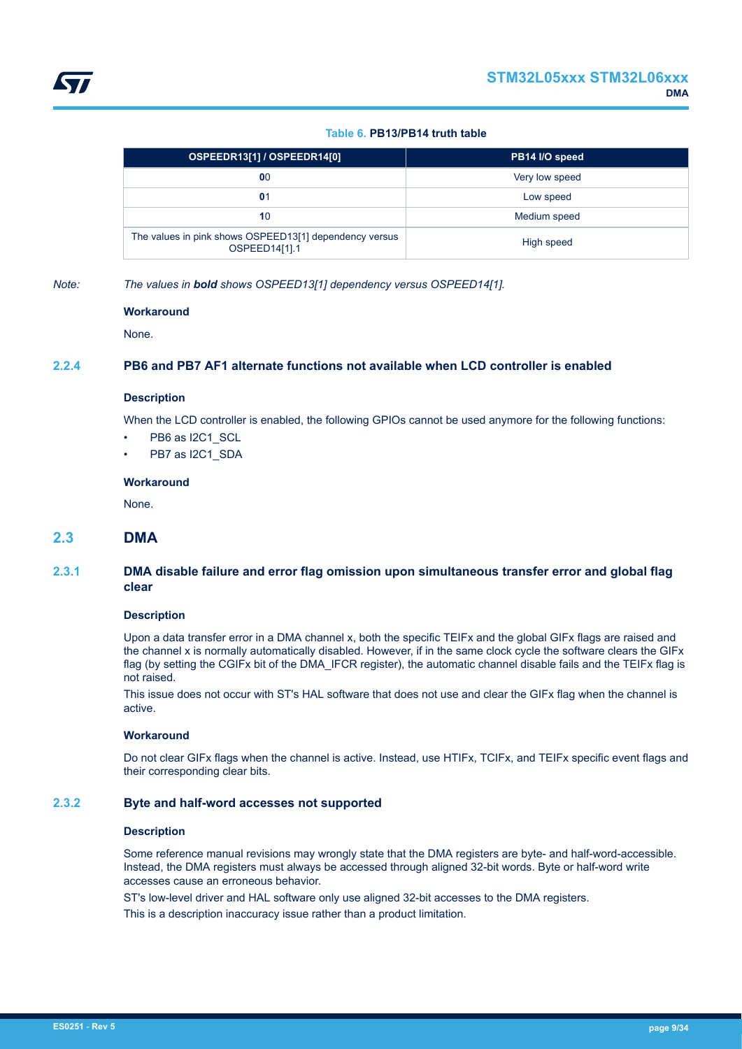# **Table 6. PB13/PB14 truth table**

<span id="page-8-0"></span>

| OSPEEDR13[1] / OSPEEDR14[0]                                             | PB14 I/O speed |
|-------------------------------------------------------------------------|----------------|
| 00                                                                      | Very low speed |
| $\mathbf{0}$ 1                                                          | Low speed      |
| 10                                                                      | Medium speed   |
| The values in pink shows OSPEED13[1] dependency versus<br>OSPEED14[1].1 | High speed     |

*Note: The values in bold shows OSPEED13[1] dependency versus OSPEED14[1].*

#### **Workaround**

None.

# **2.2.4 PB6 and PB7 AF1 alternate functions not available when LCD controller is enabled**

# **Description**

When the LCD controller is enabled, the following GPIOs cannot be used anymore for the following functions:

- PB6 as I2C1\_SCL
- PB7 as I2C1\_SDA

#### **Workaround**

None.

# **2.3 DMA**

# **2.3.1 DMA disable failure and error flag omission upon simultaneous transfer error and global flag clear**

#### **Description**

Upon a data transfer error in a DMA channel x, both the specific TEIFx and the global GIFx flags are raised and the channel x is normally automatically disabled. However, if in the same clock cycle the software clears the GIFx flag (by setting the CGIFx bit of the DMA\_IFCR register), the automatic channel disable fails and the TEIFx flag is not raised.

This issue does not occur with ST's HAL software that does not use and clear the GIFx flag when the channel is active.

### **Workaround**

Do not clear GIFx flags when the channel is active. Instead, use HTIFx, TCIFx, and TEIFx specific event flags and their corresponding clear bits.

# **2.3.2 Byte and half-word accesses not supported**

#### **Description**

Some reference manual revisions may wrongly state that the DMA registers are byte- and half-word-accessible. Instead, the DMA registers must always be accessed through aligned 32-bit words. Byte or half-word write accesses cause an erroneous behavior.

ST's low-level driver and HAL software only use aligned 32-bit accesses to the DMA registers.

This is a description inaccuracy issue rather than a product limitation.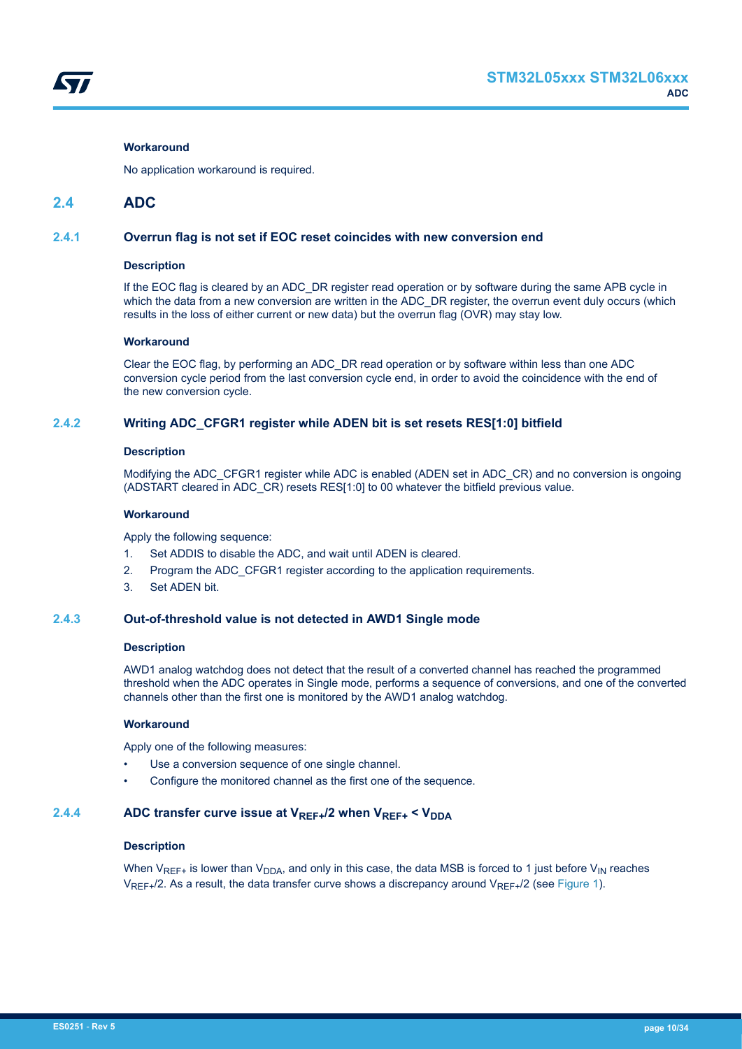<span id="page-9-0"></span>

# **Workaround**

No application workaround is required.

# **2.4 ADC**

# **2.4.1 Overrun flag is not set if EOC reset coincides with new conversion end**

#### **Description**

If the EOC flag is cleared by an ADC\_DR register read operation or by software during the same APB cycle in which the data from a new conversion are written in the ADC\_DR register, the overrun event duly occurs (which results in the loss of either current or new data) but the overrun flag (OVR) may stay low.

#### **Workaround**

Clear the EOC flag, by performing an ADC\_DR read operation or by software within less than one ADC conversion cycle period from the last conversion cycle end, in order to avoid the coincidence with the end of the new conversion cycle.

# **2.4.2 Writing ADC\_CFGR1 register while ADEN bit is set resets RES[1:0] bitfield**

#### **Description**

Modifying the ADC\_CFGR1 register while ADC is enabled (ADEN set in ADC\_CR) and no conversion is ongoing (ADSTART cleared in ADC\_CR) resets RES[1:0] to 00 whatever the bitfield previous value.

#### **Workaround**

Apply the following sequence:

- 1. Set ADDIS to disable the ADC, and wait until ADEN is cleared.
- 2. Program the ADC\_CFGR1 register according to the application requirements.
- 3. Set ADEN bit.

### **2.4.3 Out-of-threshold value is not detected in AWD1 Single mode**

# **Description**

AWD1 analog watchdog does not detect that the result of a converted channel has reached the programmed threshold when the ADC operates in Single mode, performs a sequence of conversions, and one of the converted channels other than the first one is monitored by the AWD1 analog watchdog.

#### **Workaround**

Apply one of the following measures:

- Use a conversion sequence of one single channel.
- Configure the monitored channel as the first one of the sequence.

# **2.4.4 ADC transfer curve issue at VREF+/2 when VREF+ < VDDA**

#### **Description**

When  $V_{REF+}$  is lower than  $V_{DDA}$ , and only in this case, the data MSB is forced to 1 just before  $V_{IN}$  reaches  $V_{RFF+}/2$ . As a result, the data transfer curve shows a discrepancy around  $V_{RFF+}/2$  (see [Figure 1\)](#page-10-0).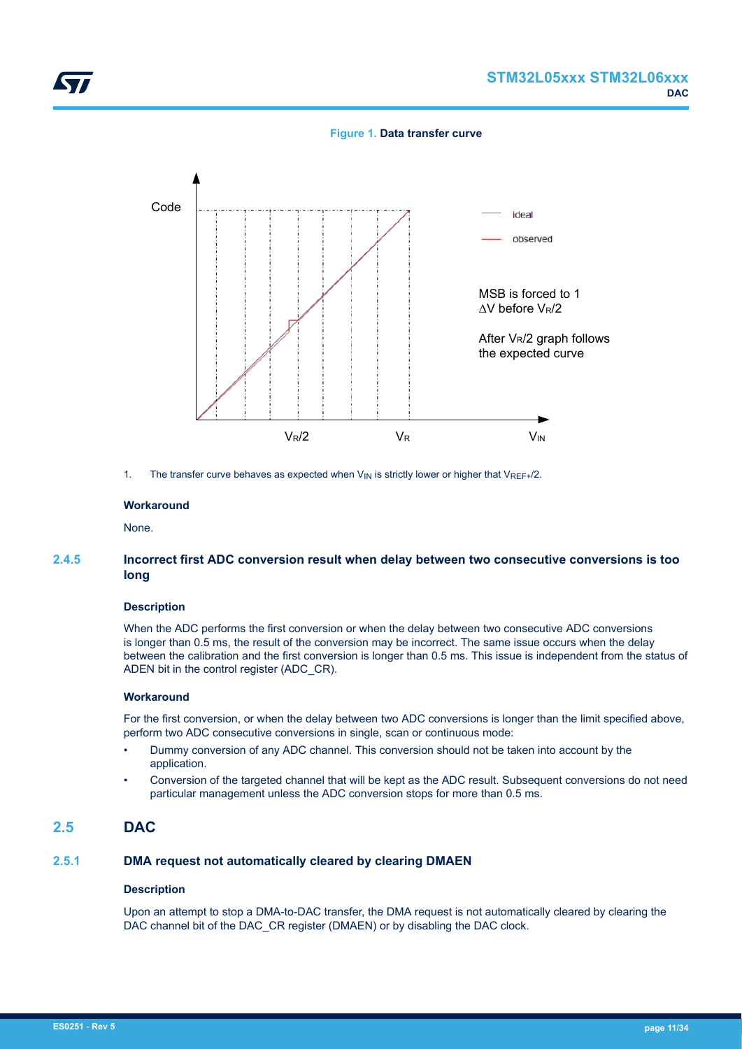**Figure 1. Data transfer curve**

<span id="page-10-0"></span>

1. The transfer curve behaves as expected when  $V_{\text{IN}}$  is strictly lower or higher that  $V_{\text{REF+}}/2$ .

#### **Workaround**

None.

# **2.4.5 Incorrect first ADC conversion result when delay between two consecutive conversions is too long**

#### **Description**

When the ADC performs the first conversion or when the delay between two consecutive ADC conversions is longer than 0.5 ms, the result of the conversion may be incorrect. The same issue occurs when the delay between the calibration and the first conversion is longer than 0.5 ms. This issue is independent from the status of ADEN bit in the control register (ADC\_CR).

#### **Workaround**

For the first conversion, or when the delay between two ADC conversions is longer than the limit specified above, perform two ADC consecutive conversions in single, scan or continuous mode:

- Dummy conversion of any ADC channel. This conversion should not be taken into account by the application.
- Conversion of the targeted channel that will be kept as the ADC result. Subsequent conversions do not need particular management unless the ADC conversion stops for more than 0.5 ms.

# **2.5 DAC**

# **2.5.1 DMA request not automatically cleared by clearing DMAEN**

#### **Description**

Upon an attempt to stop a DMA-to-DAC transfer, the DMA request is not automatically cleared by clearing the DAC channel bit of the DAC\_CR register (DMAEN) or by disabling the DAC clock.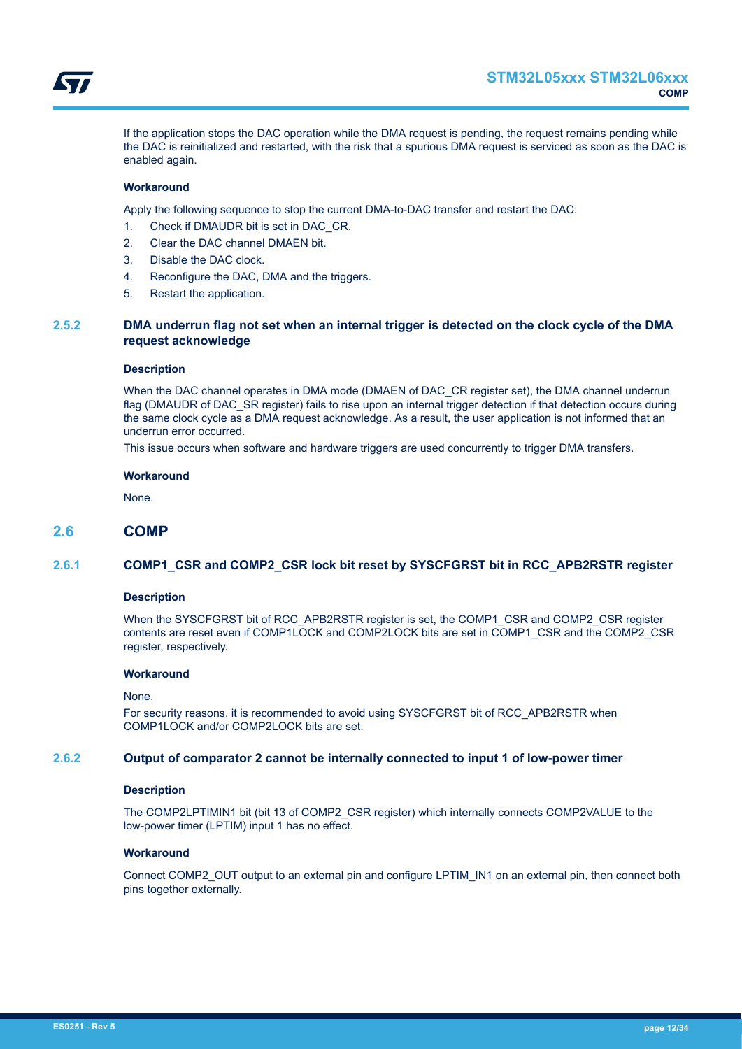<span id="page-11-0"></span>

If the application stops the DAC operation while the DMA request is pending, the request remains pending while the DAC is reinitialized and restarted, with the risk that a spurious DMA request is serviced as soon as the DAC is enabled again.

#### **Workaround**

Apply the following sequence to stop the current DMA-to-DAC transfer and restart the DAC:

- 1. Check if DMAUDR bit is set in DAC\_CR.
- 2. Clear the DAC channel DMAEN bit.
- 3. Disable the DAC clock.
- 4. Reconfigure the DAC, DMA and the triggers.
- 5. Restart the application.

# **2.5.2 DMA underrun flag not set when an internal trigger is detected on the clock cycle of the DMA request acknowledge**

#### **Description**

When the DAC channel operates in DMA mode (DMAEN of DAC CR register set), the DMA channel underrun flag (DMAUDR of DAC\_SR register) fails to rise upon an internal trigger detection if that detection occurs during the same clock cycle as a DMA request acknowledge. As a result, the user application is not informed that an underrun error occurred.

This issue occurs when software and hardware triggers are used concurrently to trigger DMA transfers.

#### **Workaround**

None.

# **2.6 COMP**

# **2.6.1 COMP1\_CSR and COMP2\_CSR lock bit reset by SYSCFGRST bit in RCC\_APB2RSTR register**

#### **Description**

When the SYSCFGRST bit of RCC\_APB2RSTR register is set, the COMP1\_CSR and COMP2\_CSR register contents are reset even if COMP1LOCK and COMP2LOCK bits are set in COMP1\_CSR and the COMP2\_CSR register, respectively.

#### **Workaround**

#### None.

For security reasons, it is recommended to avoid using SYSCFGRST bit of RCC\_APB2RSTR when COMP1LOCK and/or COMP2LOCK bits are set.

# **2.6.2 Output of comparator 2 cannot be internally connected to input 1 of low-power timer**

#### **Description**

The COMP2LPTIMIN1 bit (bit 13 of COMP2\_CSR register) which internally connects COMP2VALUE to the low-power timer (LPTIM) input 1 has no effect.

# **Workaround**

Connect COMP2\_OUT output to an external pin and configure LPTIM\_IN1 on an external pin, then connect both pins together externally.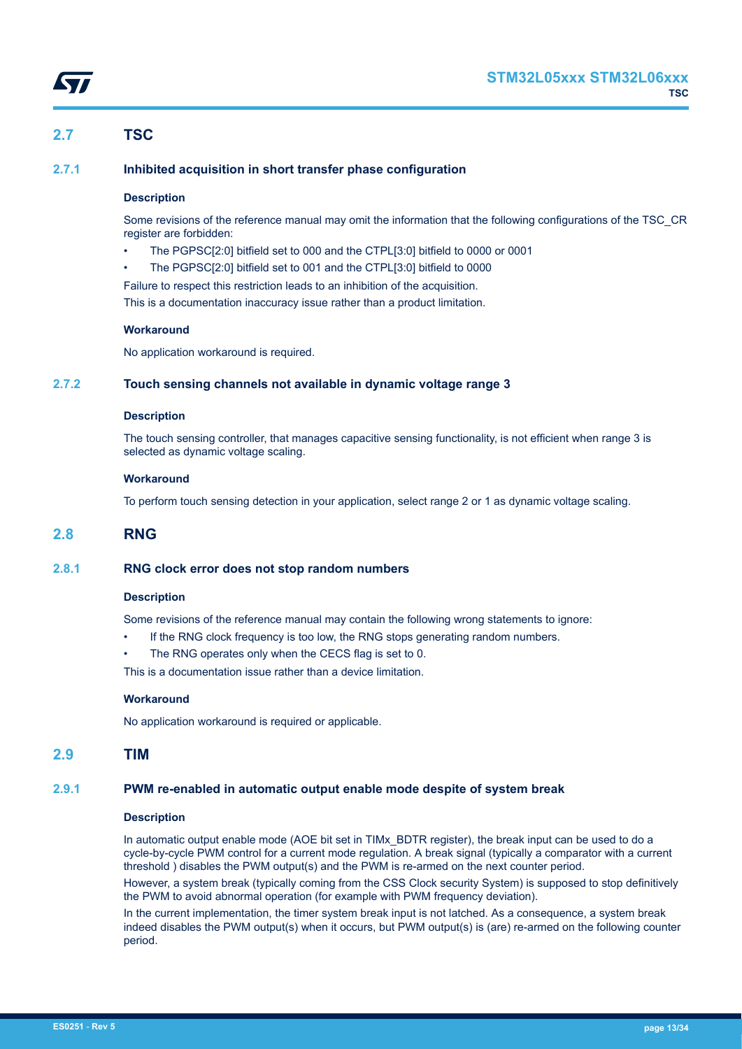# <span id="page-12-0"></span>**2.7 TSC**

# **2.7.1 Inhibited acquisition in short transfer phase configuration**

# **Description**

Some revisions of the reference manual may omit the information that the following configurations of the TSC\_CR register are forbidden:

- The PGPSC[2:0] bitfield set to 000 and the CTPL[3:0] bitfield to 0000 or 0001
- The PGPSC[2:0] bitfield set to 001 and the CTPL[3:0] bitfield to 0000

Failure to respect this restriction leads to an inhibition of the acquisition. This is a documentation inaccuracy issue rather than a product limitation.

#### **Workaround**

No application workaround is required.

# **2.7.2 Touch sensing channels not available in dynamic voltage range 3**

#### **Description**

The touch sensing controller, that manages capacitive sensing functionality, is not efficient when range 3 is selected as dynamic voltage scaling.

#### **Workaround**

To perform touch sensing detection in your application, select range 2 or 1 as dynamic voltage scaling.

# **2.8 RNG**

# **2.8.1 RNG clock error does not stop random numbers**

#### **Description**

Some revisions of the reference manual may contain the following wrong statements to ignore:

- If the RNG clock frequency is too low, the RNG stops generating random numbers.
- The RNG operates only when the CECS flag is set to 0.

This is a documentation issue rather than a device limitation.

#### **Workaround**

No application workaround is required or applicable.

# **2.9 TIM**

# **2.9.1 PWM re-enabled in automatic output enable mode despite of system break**

#### **Description**

In automatic output enable mode (AOE bit set in TIMx BDTR register), the break input can be used to do a cycle-by-cycle PWM control for a current mode regulation. A break signal (typically a comparator with a current threshold ) disables the PWM output(s) and the PWM is re-armed on the next counter period.

However, a system break (typically coming from the CSS Clock security System) is supposed to stop definitively the PWM to avoid abnormal operation (for example with PWM frequency deviation).

In the current implementation, the timer system break input is not latched. As a consequence, a system break indeed disables the PWM output(s) when it occurs, but PWM output(s) is (are) re-armed on the following counter period.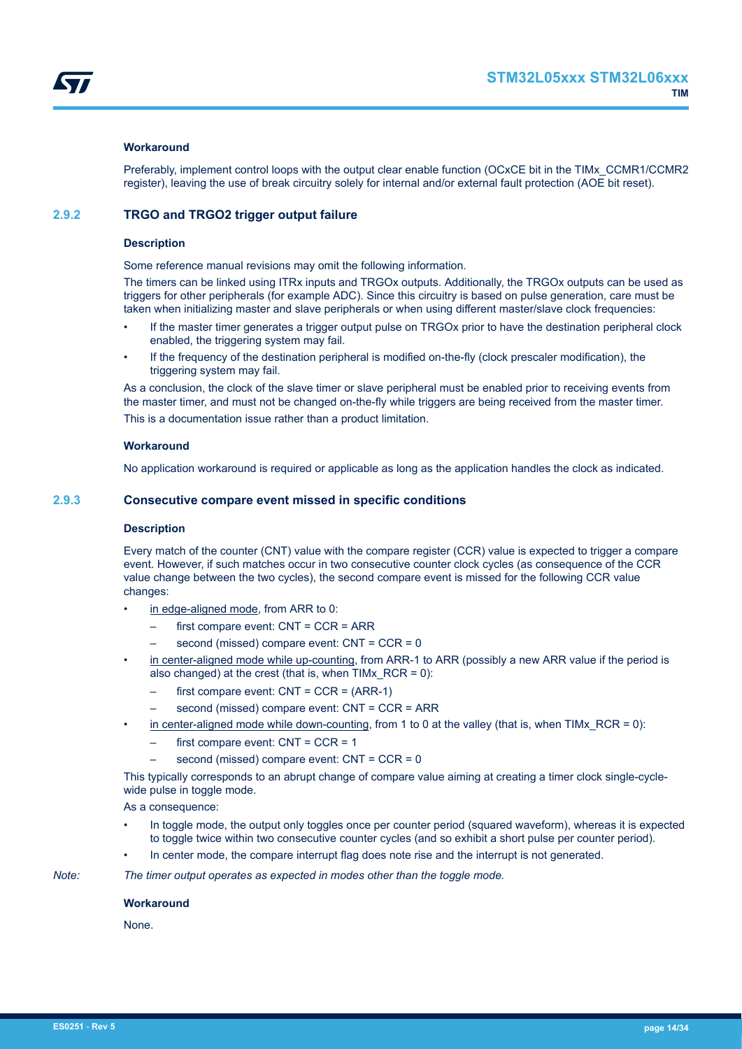### <span id="page-13-0"></span>**Workaround**

Preferably, implement control loops with the output clear enable function (OCxCE bit in the TIMx\_CCMR1/CCMR2 register), leaving the use of break circuitry solely for internal and/or external fault protection (AOE bit reset).

# **2.9.2 TRGO and TRGO2 trigger output failure**

#### **Description**

Some reference manual revisions may omit the following information.

The timers can be linked using ITRx inputs and TRGOx outputs. Additionally, the TRGOx outputs can be used as triggers for other peripherals (for example ADC). Since this circuitry is based on pulse generation, care must be taken when initializing master and slave peripherals or when using different master/slave clock frequencies:

- If the master timer generates a trigger output pulse on TRGOx prior to have the destination peripheral clock enabled, the triggering system may fail.
- If the frequency of the destination peripheral is modified on-the-fly (clock prescaler modification), the triggering system may fail.

As a conclusion, the clock of the slave timer or slave peripheral must be enabled prior to receiving events from the master timer, and must not be changed on-the-fly while triggers are being received from the master timer. This is a documentation issue rather than a product limitation.

#### **Workaround**

No application workaround is required or applicable as long as the application handles the clock as indicated.

### **2.9.3 Consecutive compare event missed in specific conditions**

#### **Description**

Every match of the counter (CNT) value with the compare register (CCR) value is expected to trigger a compare event. However, if such matches occur in two consecutive counter clock cycles (as consequence of the CCR value change between the two cycles), the second compare event is missed for the following CCR value changes:

- in edge-aligned mode, from ARR to 0:
	- first compare event: CNT = CCR = ARR
	- second (missed) compare event: CNT = CCR = 0
- in center-aligned mode while up-counting, from ARR-1 to ARR (possibly a new ARR value if the period is also changed) at the crest (that is, when TIMx  $RCR = 0$ ):
	- first compare event:  $CNT = CCR = (ARR-1)$
	- second (missed) compare event: CNT = CCR = ARR
- in center-aligned mode while down-counting, from 1 to 0 at the valley (that is, when TIMx  $RCR = 0$ ):
	- first compare event:  $CNT = CCR = 1$
	- second (missed) compare event: CNT = CCR = 0

This typically corresponds to an abrupt change of compare value aiming at creating a timer clock single-cyclewide pulse in toggle mode.

As a consequence:

- In toggle mode, the output only toggles once per counter period (squared waveform), whereas it is expected to toggle twice within two consecutive counter cycles (and so exhibit a short pulse per counter period).
- In center mode, the compare interrupt flag does note rise and the interrupt is not generated.

*Note: The timer output operates as expected in modes other than the toggle mode.*

#### **Workaround**

None.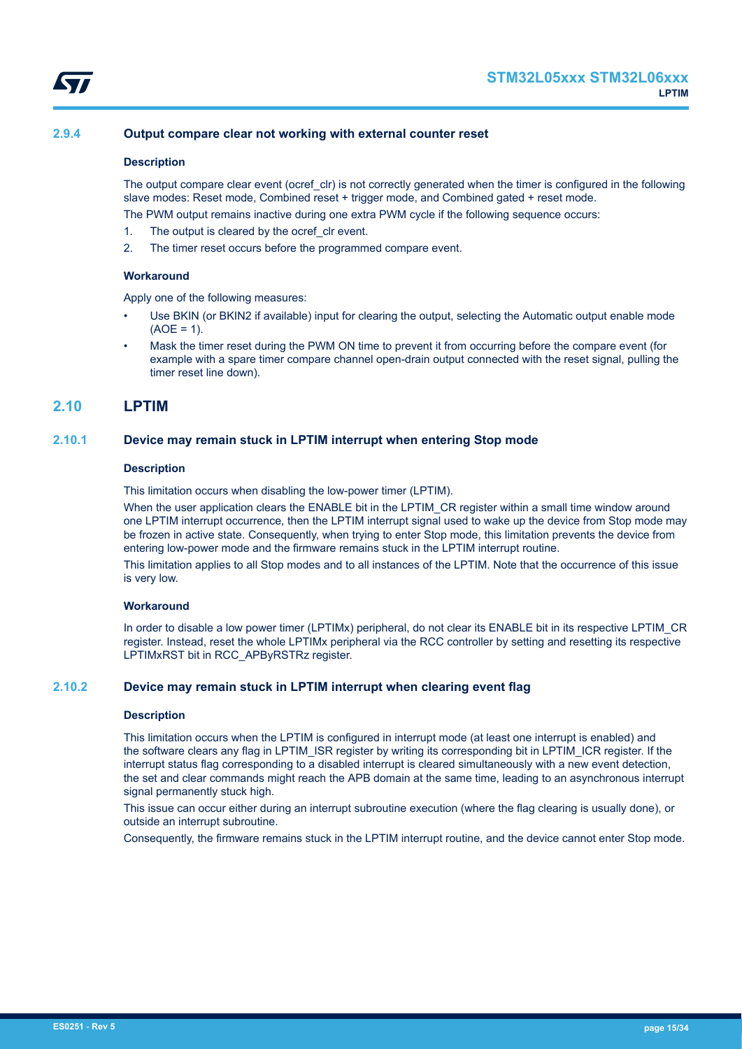<span id="page-14-0"></span>

# **2.9.4 Output compare clear not working with external counter reset**

#### **Description**

The output compare clear event (ocref clr) is not correctly generated when the timer is configured in the following slave modes: Reset mode, Combined reset + trigger mode, and Combined gated + reset mode.

The PWM output remains inactive during one extra PWM cycle if the following sequence occurs:

- 1. The output is cleared by the ocref clr event.
- 2. The timer reset occurs before the programmed compare event.

#### **Workaround**

Apply one of the following measures:

- Use BKIN (or BKIN2 if available) input for clearing the output, selecting the Automatic output enable mode  $(AOE = 1)$ .
- Mask the timer reset during the PWM ON time to prevent it from occurring before the compare event (for example with a spare timer compare channel open-drain output connected with the reset signal, pulling the timer reset line down).

# **2.10 LPTIM**

#### **2.10.1 Device may remain stuck in LPTIM interrupt when entering Stop mode**

#### **Description**

This limitation occurs when disabling the low-power timer (LPTIM).

When the user application clears the ENABLE bit in the LPTIM\_CR register within a small time window around one LPTIM interrupt occurrence, then the LPTIM interrupt signal used to wake up the device from Stop mode may be frozen in active state. Consequently, when trying to enter Stop mode, this limitation prevents the device from entering low-power mode and the firmware remains stuck in the LPTIM interrupt routine.

This limitation applies to all Stop modes and to all instances of the LPTIM. Note that the occurrence of this issue is very low.

# **Workaround**

In order to disable a low power timer (LPTIMx) peripheral, do not clear its ENABLE bit in its respective LPTIM\_CR register. Instead, reset the whole LPTIMx peripheral via the RCC controller by setting and resetting its respective LPTIMxRST bit in RCC\_APByRSTRz register.

# **2.10.2 Device may remain stuck in LPTIM interrupt when clearing event flag**

#### **Description**

This limitation occurs when the LPTIM is configured in interrupt mode (at least one interrupt is enabled) and the software clears any flag in LPTIM\_ISR register by writing its corresponding bit in LPTIM\_ICR register. If the interrupt status flag corresponding to a disabled interrupt is cleared simultaneously with a new event detection, the set and clear commands might reach the APB domain at the same time, leading to an asynchronous interrupt signal permanently stuck high.

This issue can occur either during an interrupt subroutine execution (where the flag clearing is usually done), or outside an interrupt subroutine.

Consequently, the firmware remains stuck in the LPTIM interrupt routine, and the device cannot enter Stop mode.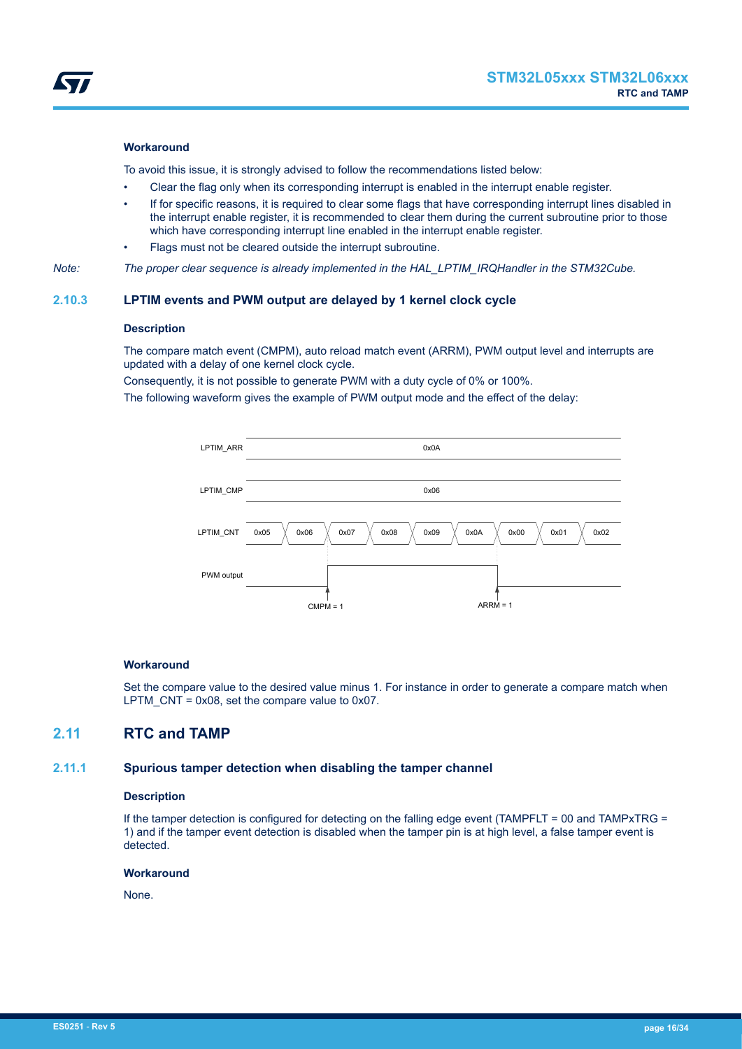<span id="page-15-0"></span>

### **Workaround**

To avoid this issue, it is strongly advised to follow the recommendations listed below:

- Clear the flag only when its corresponding interrupt is enabled in the interrupt enable register.
- If for specific reasons, it is required to clear some flags that have corresponding interrupt lines disabled in the interrupt enable register, it is recommended to clear them during the current subroutine prior to those which have corresponding interrupt line enabled in the interrupt enable register.
- Flags must not be cleared outside the interrupt subroutine.

*Note: The proper clear sequence is already implemented in the HAL\_LPTIM\_IRQHandler in the STM32Cube.*

# **2.10.3 LPTIM events and PWM output are delayed by 1 kernel clock cycle**

#### **Description**

The compare match event (CMPM), auto reload match event (ARRM), PWM output level and interrupts are updated with a delay of one kernel clock cycle.

Consequently, it is not possible to generate PWM with a duty cycle of 0% or 100%.

The following waveform gives the example of PWM output mode and the effect of the delay:



#### **Workaround**

Set the compare value to the desired value minus 1. For instance in order to generate a compare match when LPTM  $CNT = 0x08$ , set the compare value to 0x07.

# **2.11 RTC and TAMP**

### **2.11.1 Spurious tamper detection when disabling the tamper channel**

#### **Description**

If the tamper detection is configured for detecting on the falling edge event (TAMPFLT = 00 and TAMPxTRG = 1) and if the tamper event detection is disabled when the tamper pin is at high level, a false tamper event is detected.

#### **Workaround**

None.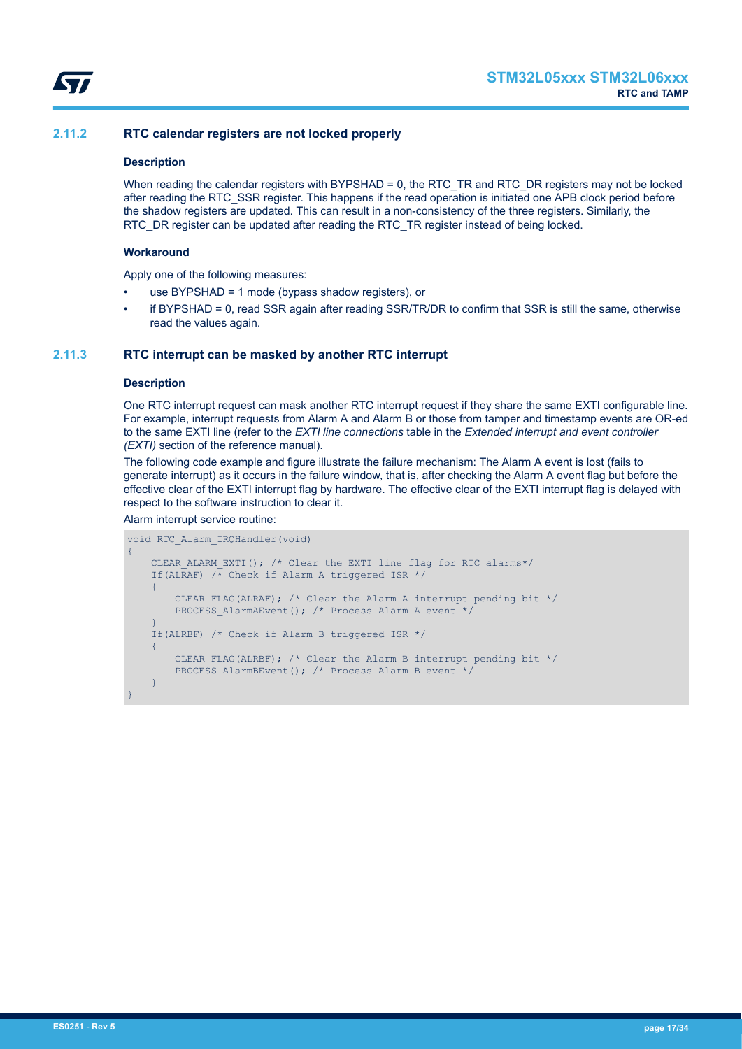<span id="page-16-0"></span>

# **2.11.2 RTC calendar registers are not locked properly**

### **Description**

When reading the calendar registers with BYPSHAD = 0, the RTC\_TR and RTC\_DR registers may not be locked after reading the RTC\_SSR register. This happens if the read operation is initiated one APB clock period before the shadow registers are updated. This can result in a non-consistency of the three registers. Similarly, the RTC\_DR register can be updated after reading the RTC\_TR register instead of being locked.

### **Workaround**

Apply one of the following measures:

- use BYPSHAD = 1 mode (bypass shadow registers), or
- if BYPSHAD = 0, read SSR again after reading SSR/TR/DR to confirm that SSR is still the same, otherwise read the values again.

# **2.11.3 RTC interrupt can be masked by another RTC interrupt**

#### **Description**

One RTC interrupt request can mask another RTC interrupt request if they share the same EXTI configurable line. For example, interrupt requests from Alarm A and Alarm B or those from tamper and timestamp events are OR-ed to the same EXTI line (refer to the *EXTI line connections* table in the *Extended interrupt and event controller (EXTI)* section of the reference manual).

The following code example and figure illustrate the failure mechanism: The Alarm A event is lost (fails to generate interrupt) as it occurs in the failure window, that is, after checking the Alarm A event flag but before the effective clear of the EXTI interrupt flag by hardware. The effective clear of the EXTI interrupt flag is delayed with respect to the software instruction to clear it.

#### Alarm interrupt service routine:

```
void RTC_Alarm_IRQHandler(void)
{
     CLEAR ALARM EXTI(); /* Clear the EXTI line flag for RTC alarms*/
     If(ALRAF) \overline{A} Check if Alarm A triggered ISR */
      {
          CLEAR FLAG(ALRAF); /* Clear the Alarm A interrupt pending bit */
          PROCESS AlarmAEvent(); /* Process Alarm A event */
\left\{\begin{array}{cc} 1 & 1 \\ 1 & 1 \end{array}\right\} If(ALRBF) /* Check if Alarm B triggered ISR */
      {
          CLEAR FLAG(ALRBF); /* Clear the Alarm B interrupt pending bit */
          PROCESS AlarmBEvent(); /* Process Alarm B event */
\left\{\begin{array}{cc} 1 & 1 \\ 1 & 1 \end{array}\right\}}
```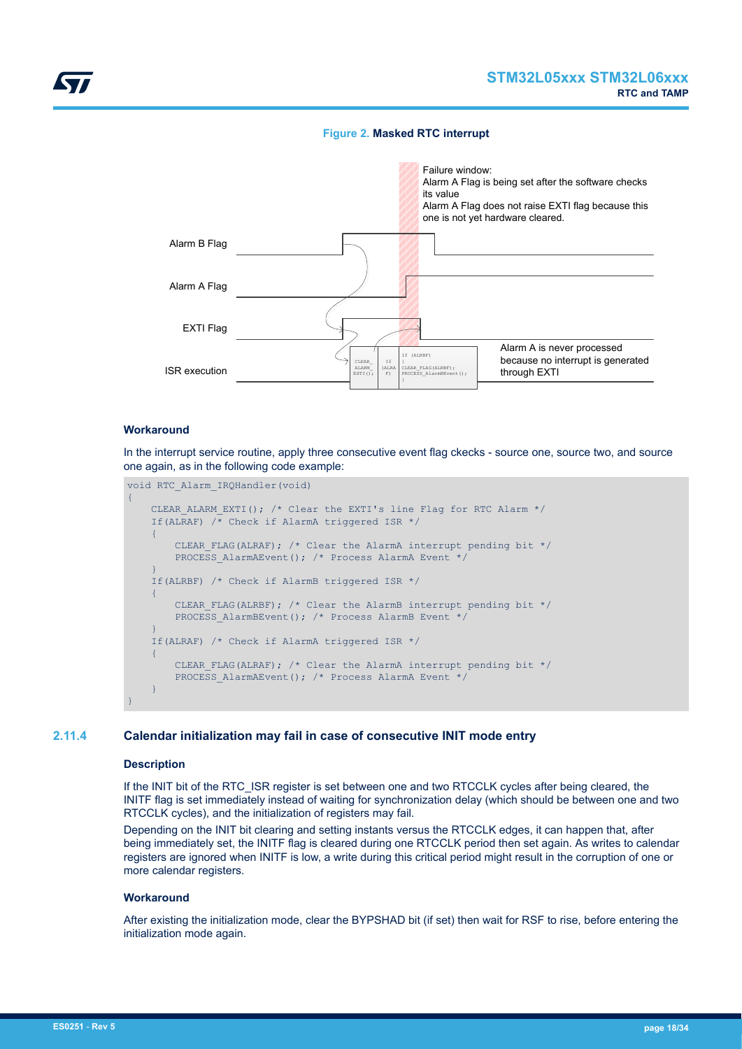# **Figure 2. Masked RTC interrupt**

<span id="page-17-0"></span>

# **Workaround**

In the interrupt service routine, apply three consecutive event flag ckecks - source one, source two, and source one again, as in the following code example:

```
void RTC_Alarm_IRQHandler(void)
{
     CLEAR_ALARM_EXTI(); /* Clear the EXTI's line Flag for RTC Alarm */
     If(ALRAF) /* Check if AlarmA triggered ISR */
    \left\{ \right.CLEAR FLAG(ALRAF); /* Clear the AlarmA interrupt pending bit */
        PROCESS AlarmAEvent(); /* Process AlarmA Event */
     }
     If(ALRBF) /* Check if AlarmB triggered ISR */
     {
        CLEAR FLAG(ALRBF); /* Clear the AlarmB interrupt pending bit */
        PROCESS AlarmBEvent(); /* Process AlarmB Event */
     }
     If(ALRAF) /* Check if AlarmA triggered ISR */
     {
        CLEAR FLAG(ALRAF); /* Clear the AlarmA interrupt pending bit */
        PROCESS AlarmAEvent(); /* Process AlarmA Event */
\longrightarrow}
```
# **2.11.4 Calendar initialization may fail in case of consecutive INIT mode entry**

#### **Description**

If the INIT bit of the RTC\_ISR register is set between one and two RTCCLK cycles after being cleared, the INITF flag is set immediately instead of waiting for synchronization delay (which should be between one and two RTCCLK cycles), and the initialization of registers may fail.

Depending on the INIT bit clearing and setting instants versus the RTCCLK edges, it can happen that, after being immediately set, the INITF flag is cleared during one RTCCLK period then set again. As writes to calendar registers are ignored when INITF is low, a write during this critical period might result in the corruption of one or more calendar registers.

#### **Workaround**

After existing the initialization mode, clear the BYPSHAD bit (if set) then wait for RSF to rise, before entering the initialization mode again.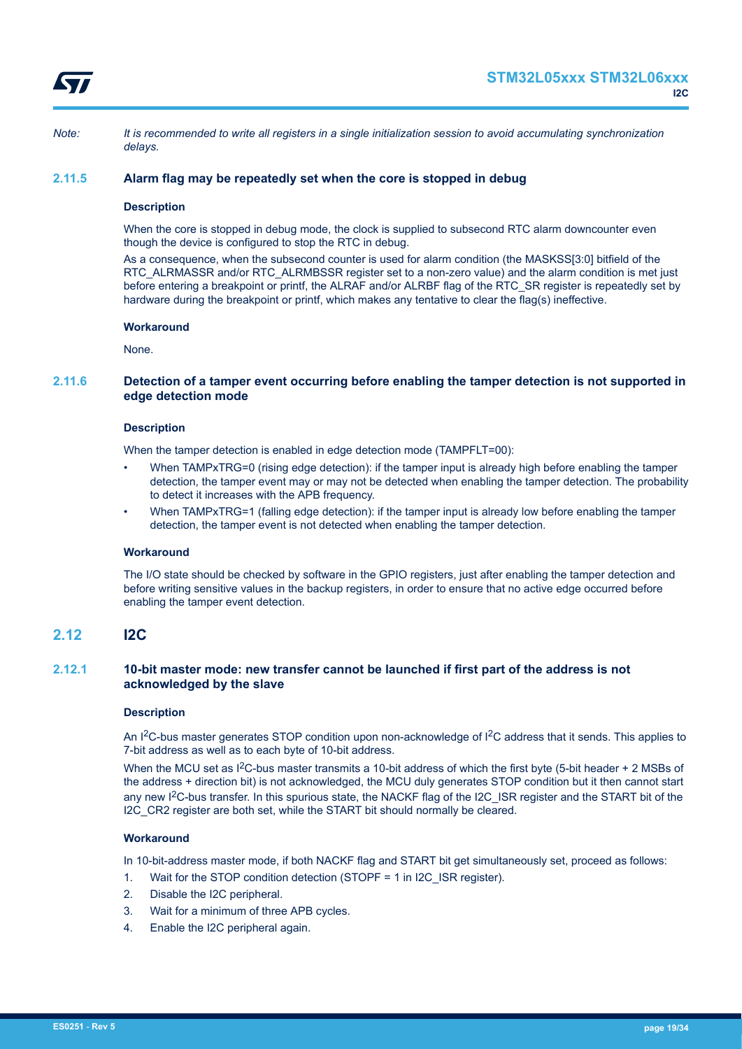<span id="page-18-0"></span>

*Note: It is recommended to write all registers in a single initialization session to avoid accumulating synchronization delays.*

# **2.11.5 Alarm flag may be repeatedly set when the core is stopped in debug**

#### **Description**

When the core is stopped in debug mode, the clock is supplied to subsecond RTC alarm downcounter even though the device is configured to stop the RTC in debug.

As a consequence, when the subsecond counter is used for alarm condition (the MASKSS[3:0] bitfield of the RTC\_ALRMASSR and/or RTC\_ALRMBSSR register set to a non-zero value) and the alarm condition is met just before entering a breakpoint or printf, the ALRAF and/or ALRBF flag of the RTC\_SR register is repeatedly set by hardware during the breakpoint or printf, which makes any tentative to clear the flag(s) ineffective.

#### **Workaround**

None.

# **2.11.6 Detection of a tamper event occurring before enabling the tamper detection is not supported in edge detection mode**

#### **Description**

When the tamper detection is enabled in edge detection mode (TAMPFLT=00):

- When TAMPxTRG=0 (rising edge detection): if the tamper input is already high before enabling the tamper detection, the tamper event may or may not be detected when enabling the tamper detection. The probability to detect it increases with the APB frequency.
- When TAMPxTRG=1 (falling edge detection): if the tamper input is already low before enabling the tamper detection, the tamper event is not detected when enabling the tamper detection.

#### **Workaround**

The I/O state should be checked by software in the GPIO registers, just after enabling the tamper detection and before writing sensitive values in the backup registers, in order to ensure that no active edge occurred before enabling the tamper event detection.

# **2.12 I2C**

# **2.12.1 10-bit master mode: new transfer cannot be launched if first part of the address is not acknowledged by the slave**

#### **Description**

An I<sup>2</sup>C-bus master generates STOP condition upon non-acknowledge of I<sup>2</sup>C address that it sends. This applies to 7-bit address as well as to each byte of 10-bit address.

When the MCU set as  $1^2C$ -bus master transmits a 10-bit address of which the first byte (5-bit header + 2 MSBs of the address + direction bit) is not acknowledged, the MCU duly generates STOP condition but it then cannot start any new I<sup>2</sup>C-bus transfer. In this spurious state, the NACKF flag of the I2C\_ISR register and the START bit of the I2C CR2 register are both set, while the START bit should normally be cleared.

#### **Workaround**

In 10-bit-address master mode, if both NACKF flag and START bit get simultaneously set, proceed as follows:

- 1. Wait for the STOP condition detection (STOPF = 1 in I2C\_ISR register).
- 2. Disable the I2C peripheral.
- 3. Wait for a minimum of three APB cycles.
- 4. Enable the I2C peripheral again.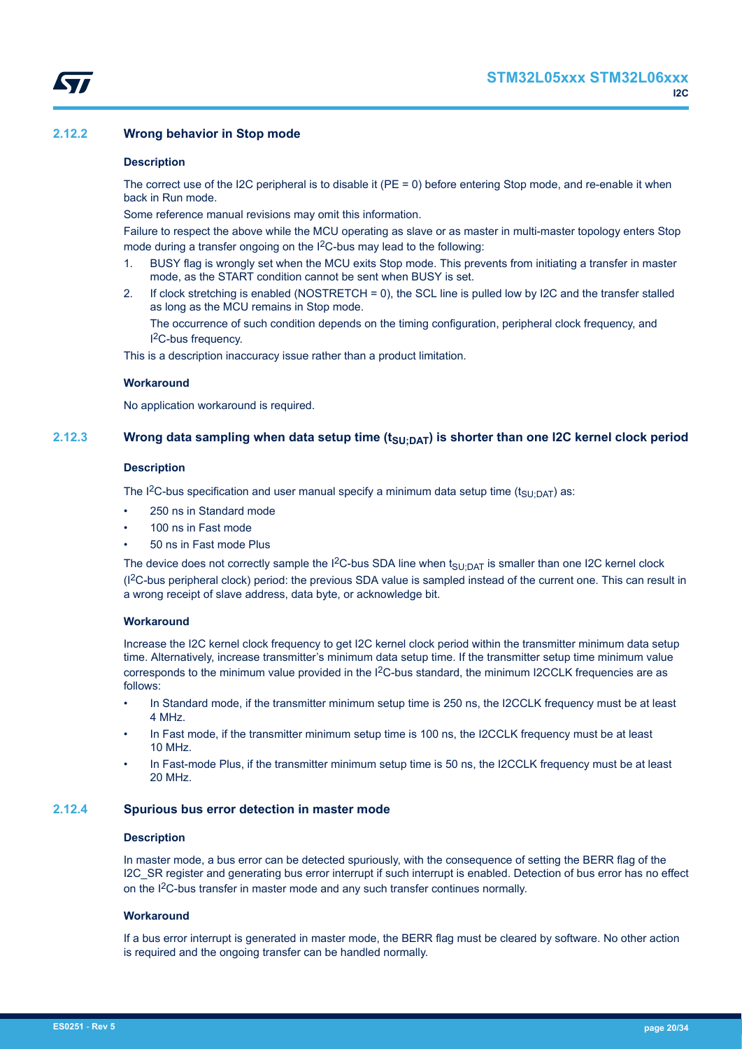# <span id="page-19-0"></span>**2.12.2 Wrong behavior in Stop mode**

#### **Description**

The correct use of the I2C peripheral is to disable it (PE = 0) before entering Stop mode, and re-enable it when back in Run mode.

Some reference manual revisions may omit this information.

Failure to respect the above while the MCU operating as slave or as master in multi-master topology enters Stop mode during a transfer ongoing on the I<sup>2</sup>C-bus may lead to the following:

- 1. BUSY flag is wrongly set when the MCU exits Stop mode. This prevents from initiating a transfer in master mode, as the START condition cannot be sent when BUSY is set.
- 2. If clock stretching is enabled (NOSTRETCH = 0), the SCL line is pulled low by I2C and the transfer stalled as long as the MCU remains in Stop mode.

The occurrence of such condition depends on the timing configuration, peripheral clock frequency, and I <sup>2</sup>C-bus frequency.

This is a description inaccuracy issue rather than a product limitation.

#### **Workaround**

No application workaround is required.

# **2.12.3 Wrong data sampling when data setup time (tSU;DAT) is shorter than one I2C kernel clock period**

#### **Description**

The I<sup>2</sup>C-bus specification and user manual specify a minimum data setup time ( $t_{\text{SU:DAT}}$ ) as:

- 250 ns in Standard mode
- 100 ns in Fast mode
- 50 ns in Fast mode Plus

The device does not correctly sample the I<sup>2</sup>C-bus SDA line when  $t_{\text{SU;DAT}}$  is smaller than one I2C kernel clock (I2C-bus peripheral clock) period: the previous SDA value is sampled instead of the current one. This can result in a wrong receipt of slave address, data byte, or acknowledge bit.

#### **Workaround**

Increase the I2C kernel clock frequency to get I2C kernel clock period within the transmitter minimum data setup time. Alternatively, increase transmitter's minimum data setup time. If the transmitter setup time minimum value corresponds to the minimum value provided in the  $12C$ -bus standard, the minimum I2CCLK frequencies are as follows:

- In Standard mode, if the transmitter minimum setup time is 250 ns, the I2CCLK frequency must be at least 4 MHz.
- In Fast mode, if the transmitter minimum setup time is 100 ns, the I2CCLK frequency must be at least 10 MHz.
- In Fast-mode Plus, if the transmitter minimum setup time is 50 ns, the I2CCLK frequency must be at least 20 MHz.

### **2.12.4 Spurious bus error detection in master mode**

#### **Description**

In master mode, a bus error can be detected spuriously, with the consequence of setting the BERR flag of the I2C\_SR register and generating bus error interrupt if such interrupt is enabled. Detection of bus error has no effect on the I<sup>2</sup>C-bus transfer in master mode and any such transfer continues normally.

#### **Workaround**

If a bus error interrupt is generated in master mode, the BERR flag must be cleared by software. No other action is required and the ongoing transfer can be handled normally.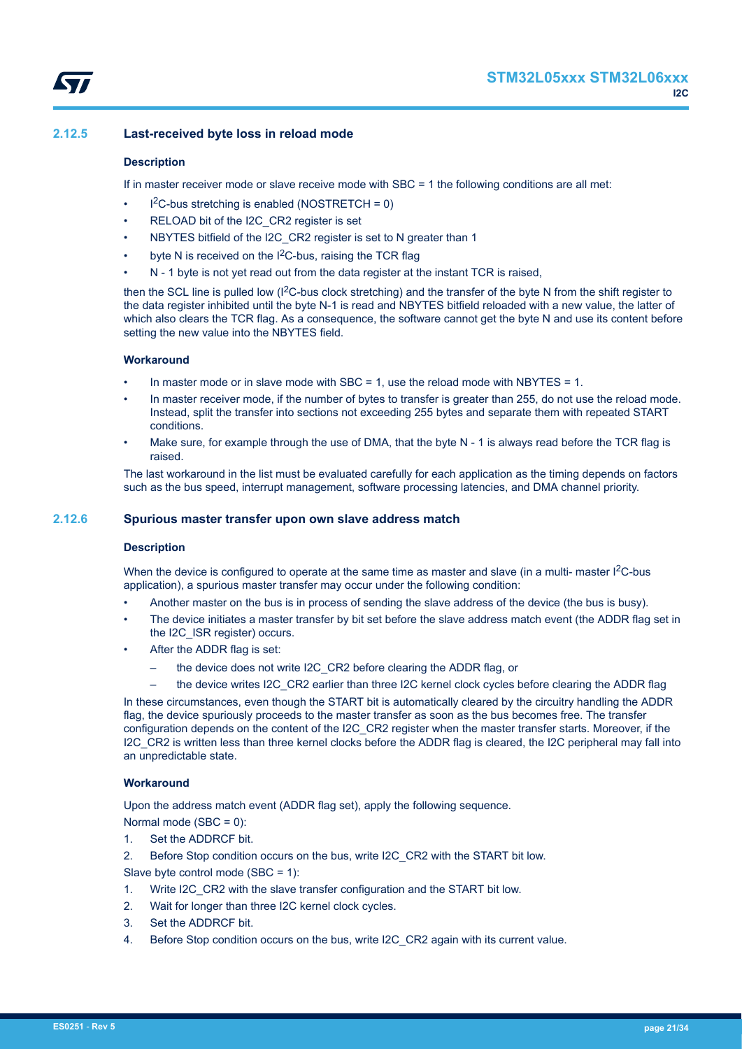# <span id="page-20-0"></span>**2.12.5 Last-received byte loss in reload mode**

### **Description**

If in master receiver mode or slave receive mode with SBC = 1 the following conditions are all met:

- $l^2C$ -bus stretching is enabled (NOSTRETCH = 0)
- RELOAD bit of the I2C\_CR2 register is set
- NBYTES bitfield of the I2C CR2 register is set to N greater than 1
- byte N is received on the  $1<sup>2</sup>C$ -bus, raising the TCR flag
- N 1 byte is not yet read out from the data register at the instant TCR is raised,

then the SCL line is pulled low (I<sup>2</sup>C-bus clock stretching) and the transfer of the byte N from the shift register to the data register inhibited until the byte N-1 is read and NBYTES bitfield reloaded with a new value, the latter of which also clears the TCR flag. As a consequence, the software cannot get the byte N and use its content before setting the new value into the NBYTES field.

### **Workaround**

- In master mode or in slave mode with SBC = 1, use the reload mode with NBYTES = 1.
- In master receiver mode, if the number of bytes to transfer is greater than 255, do not use the reload mode. Instead, split the transfer into sections not exceeding 255 bytes and separate them with repeated START conditions.
- Make sure, for example through the use of DMA, that the byte N 1 is always read before the TCR flag is raised.

The last workaround in the list must be evaluated carefully for each application as the timing depends on factors such as the bus speed, interrupt management, software processing latencies, and DMA channel priority.

# **2.12.6 Spurious master transfer upon own slave address match**

#### **Description**

When the device is configured to operate at the same time as master and slave (in a multi- master  $1^2C$ -bus application), a spurious master transfer may occur under the following condition:

- Another master on the bus is in process of sending the slave address of the device (the bus is busy).
- The device initiates a master transfer by bit set before the slave address match event (the ADDR flag set in the I2C\_ISR register) occurs.
- After the ADDR flag is set:
	- the device does not write I2C\_CR2 before clearing the ADDR flag, or
	- the device writes I2C\_CR2 earlier than three I2C kernel clock cycles before clearing the ADDR flag

In these circumstances, even though the START bit is automatically cleared by the circuitry handling the ADDR flag, the device spuriously proceeds to the master transfer as soon as the bus becomes free. The transfer configuration depends on the content of the I2C\_CR2 register when the master transfer starts. Moreover, if the I2C\_CR2 is written less than three kernel clocks before the ADDR flag is cleared, the I2C peripheral may fall into an unpredictable state.

### **Workaround**

Upon the address match event (ADDR flag set), apply the following sequence.

Normal mode (SBC = 0):

1. Set the ADDRCF bit.

2. Before Stop condition occurs on the bus, write I2C\_CR2 with the START bit low.

Slave byte control mode (SBC = 1):

- 1. Write I2C\_CR2 with the slave transfer configuration and the START bit low.
- 2. Wait for longer than three I2C kernel clock cycles.
- 3. Set the ADDRCF bit.
- 4. Before Stop condition occurs on the bus, write I2C\_CR2 again with its current value.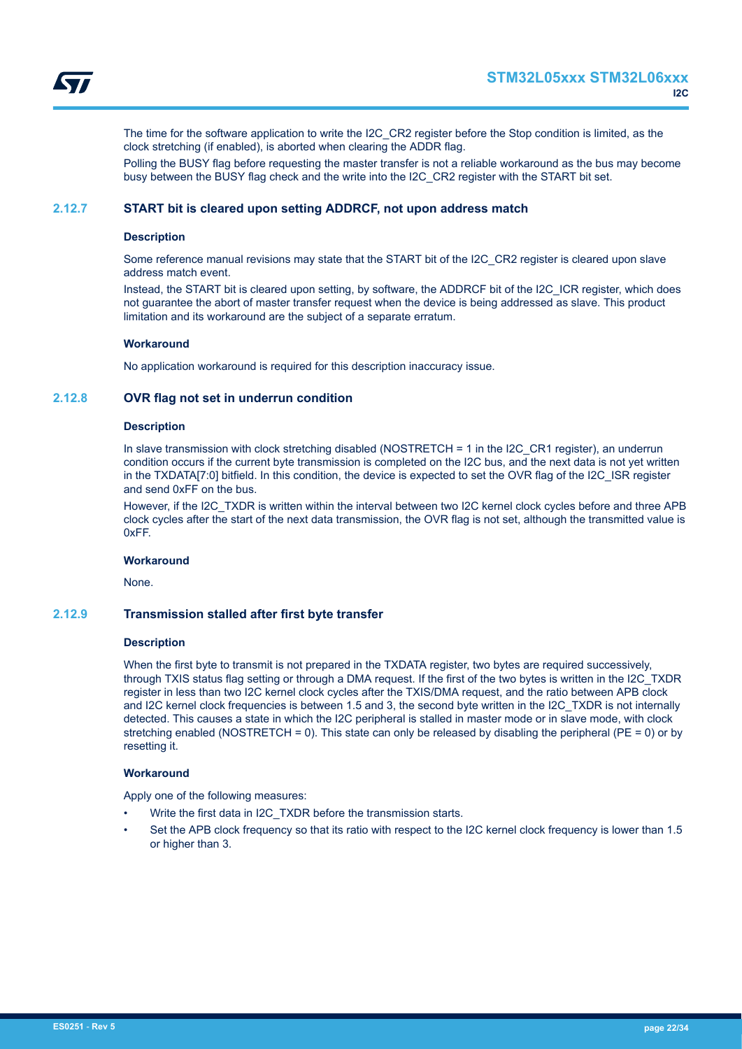<span id="page-21-0"></span>

The time for the software application to write the I2C\_CR2 register before the Stop condition is limited, as the clock stretching (if enabled), is aborted when clearing the ADDR flag.

Polling the BUSY flag before requesting the master transfer is not a reliable workaround as the bus may become busy between the BUSY flag check and the write into the I2C\_CR2 register with the START bit set.

# **2.12.7 START bit is cleared upon setting ADDRCF, not upon address match**

#### **Description**

Some reference manual revisions may state that the START bit of the I2C\_CR2 register is cleared upon slave address match event.

Instead, the START bit is cleared upon setting, by software, the ADDRCF bit of the I2C\_ICR register, which does not guarantee the abort of master transfer request when the device is being addressed as slave. This product limitation and its workaround are the subject of a separate erratum.

#### **Workaround**

No application workaround is required for this description inaccuracy issue.

#### **2.12.8 OVR flag not set in underrun condition**

#### **Description**

In slave transmission with clock stretching disabled (NOSTRETCH = 1 in the I2C\_CR1 register), an underrun condition occurs if the current byte transmission is completed on the I2C bus, and the next data is not yet written in the TXDATA[7:0] bitfield. In this condition, the device is expected to set the OVR flag of the I2C\_ISR register and send 0xFF on the bus.

However, if the I2C TXDR is written within the interval between two I2C kernel clock cycles before and three APB clock cycles after the start of the next data transmission, the OVR flag is not set, although the transmitted value is 0xFF.

#### **Workaround**

None.

#### **2.12.9 Transmission stalled after first byte transfer**

#### **Description**

When the first byte to transmit is not prepared in the TXDATA register, two bytes are required successively, through TXIS status flag setting or through a DMA request. If the first of the two bytes is written in the I2C\_TXDR register in less than two I2C kernel clock cycles after the TXIS/DMA request, and the ratio between APB clock and I2C kernel clock frequencies is between 1.5 and 3, the second byte written in the I2C\_TXDR is not internally detected. This causes a state in which the I2C peripheral is stalled in master mode or in slave mode, with clock stretching enabled (NOSTRETCH = 0). This state can only be released by disabling the peripheral (PE = 0) or by resetting it.

#### **Workaround**

Apply one of the following measures:

- Write the first data in I2C\_TXDR before the transmission starts.
- Set the APB clock frequency so that its ratio with respect to the I2C kernel clock frequency is lower than 1.5 or higher than 3.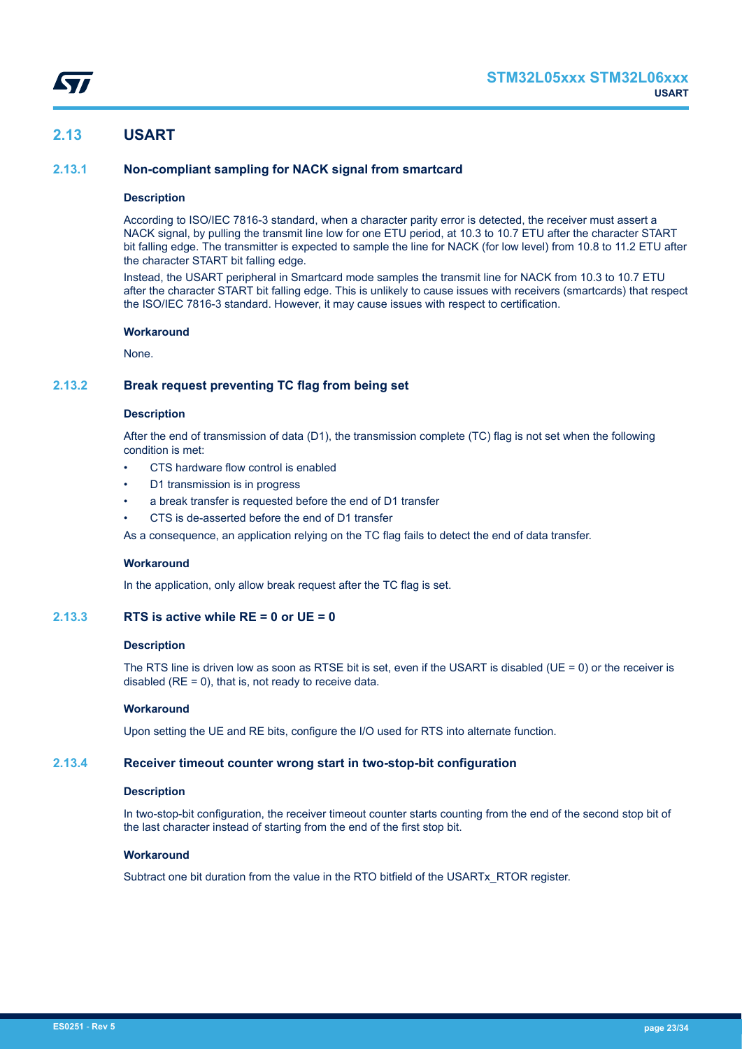

# <span id="page-22-0"></span>**2.13 USART**

# **2.13.1 Non-compliant sampling for NACK signal from smartcard**

#### **Description**

According to ISO/IEC 7816-3 standard, when a character parity error is detected, the receiver must assert a NACK signal, by pulling the transmit line low for one ETU period, at 10.3 to 10.7 ETU after the character START bit falling edge. The transmitter is expected to sample the line for NACK (for low level) from 10.8 to 11.2 ETU after the character START bit falling edge.

Instead, the USART peripheral in Smartcard mode samples the transmit line for NACK from 10.3 to 10.7 ETU after the character START bit falling edge. This is unlikely to cause issues with receivers (smartcards) that respect the ISO/IEC 7816-3 standard. However, it may cause issues with respect to certification.

#### **Workaround**

None.

# **2.13.2 Break request preventing TC flag from being set**

# **Description**

After the end of transmission of data (D1), the transmission complete (TC) flag is not set when the following condition is met:

- CTS hardware flow control is enabled
- D1 transmission is in progress
- a break transfer is requested before the end of D1 transfer
- CTS is de-asserted before the end of D1 transfer

As a consequence, an application relying on the TC flag fails to detect the end of data transfer.

#### **Workaround**

In the application, only allow break request after the TC flag is set.

# **2.13.3 RTS is active while RE = 0 or UE = 0**

#### **Description**

The RTS line is driven low as soon as RTSE bit is set, even if the USART is disabled (UE = 0) or the receiver is disabled  $(RE = 0)$ , that is, not ready to receive data.

#### **Workaround**

Upon setting the UE and RE bits, configure the I/O used for RTS into alternate function.

# **2.13.4 Receiver timeout counter wrong start in two-stop-bit configuration**

#### **Description**

In two-stop-bit configuration, the receiver timeout counter starts counting from the end of the second stop bit of the last character instead of starting from the end of the first stop bit.

# **Workaround**

Subtract one bit duration from the value in the RTO bitfield of the USARTx\_RTOR register.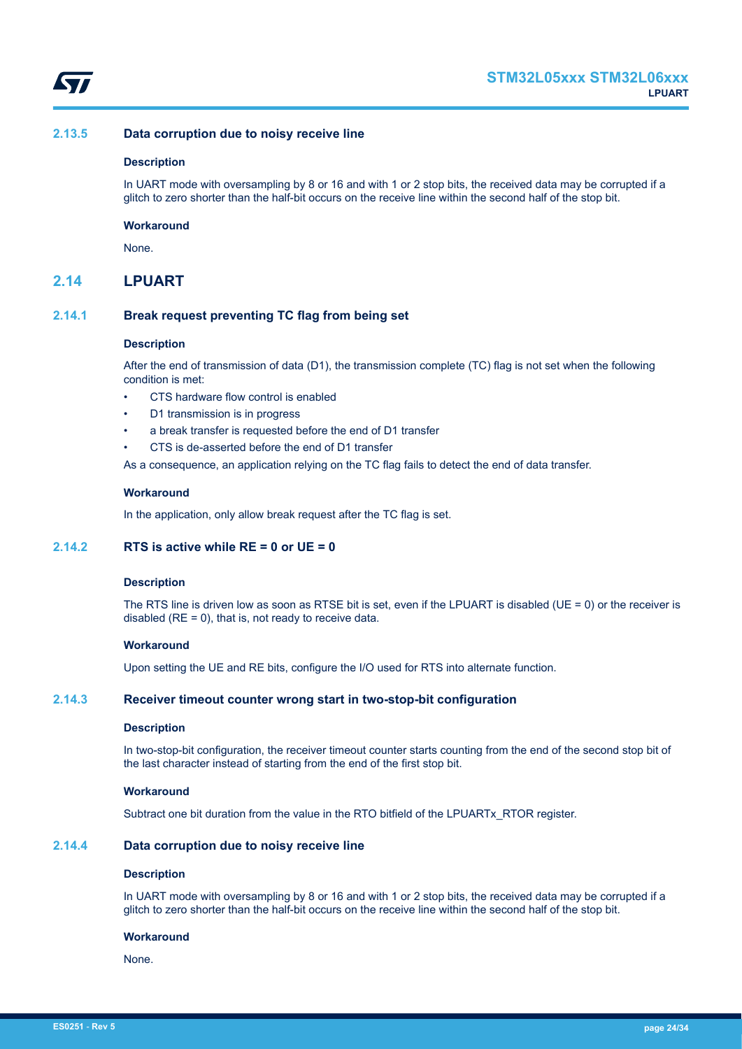<span id="page-23-0"></span>

# **2.13.5 Data corruption due to noisy receive line**

#### **Description**

In UART mode with oversampling by 8 or 16 and with 1 or 2 stop bits, the received data may be corrupted if a glitch to zero shorter than the half-bit occurs on the receive line within the second half of the stop bit.

#### **Workaround**

None.

# **2.14 LPUART**

# **2.14.1 Break request preventing TC flag from being set**

#### **Description**

After the end of transmission of data (D1), the transmission complete (TC) flag is not set when the following condition is met:

- CTS hardware flow control is enabled
- D1 transmission is in progress
- a break transfer is requested before the end of D1 transfer
- CTS is de-asserted before the end of D1 transfer

As a consequence, an application relying on the TC flag fails to detect the end of data transfer.

#### **Workaround**

In the application, only allow break request after the TC flag is set.

# **2.14.2 RTS is active while RE = 0 or UE = 0**

# **Description**

The RTS line is driven low as soon as RTSE bit is set, even if the LPUART is disabled (UE = 0) or the receiver is disabled ( $RE = 0$ ), that is, not ready to receive data.

#### **Workaround**

Upon setting the UE and RE bits, configure the I/O used for RTS into alternate function.

# **2.14.3 Receiver timeout counter wrong start in two-stop-bit configuration**

#### **Description**

In two-stop-bit configuration, the receiver timeout counter starts counting from the end of the second stop bit of the last character instead of starting from the end of the first stop bit.

#### **Workaround**

Subtract one bit duration from the value in the RTO bitfield of the LPUARTx\_RTOR register.

# **2.14.4 Data corruption due to noisy receive line**

#### **Description**

In UART mode with oversampling by 8 or 16 and with 1 or 2 stop bits, the received data may be corrupted if a glitch to zero shorter than the half-bit occurs on the receive line within the second half of the stop bit.

#### **Workaround**

None.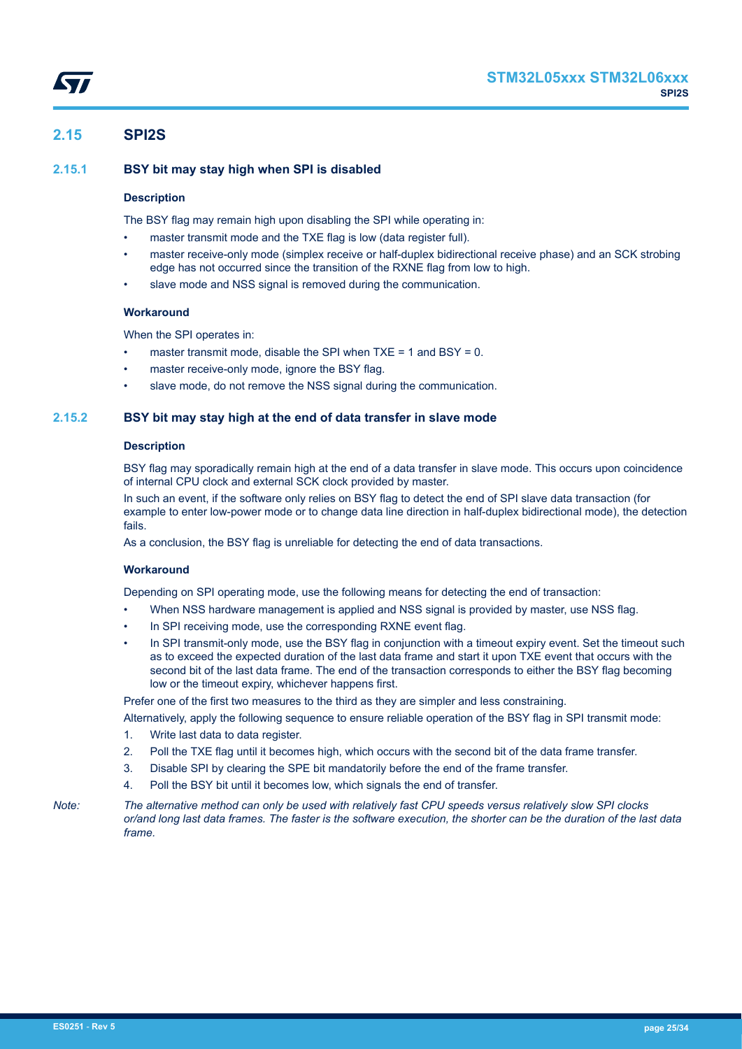# <span id="page-24-0"></span>**2.15 SPI2S**

# **2.15.1 BSY bit may stay high when SPI is disabled**

# **Description**

The BSY flag may remain high upon disabling the SPI while operating in:

- master transmit mode and the TXE flag is low (data register full).
- master receive-only mode (simplex receive or half-duplex bidirectional receive phase) and an SCK strobing edge has not occurred since the transition of the RXNE flag from low to high.
- slave mode and NSS signal is removed during the communication.

# **Workaround**

When the SPI operates in:

- master transmit mode, disable the SPI when  $TXE = 1$  and  $BSY = 0$ .
- master receive-only mode, ignore the BSY flag.
- slave mode, do not remove the NSS signal during the communication.

# **2.15.2 BSY bit may stay high at the end of data transfer in slave mode**

#### **Description**

BSY flag may sporadically remain high at the end of a data transfer in slave mode. This occurs upon coincidence of internal CPU clock and external SCK clock provided by master.

In such an event, if the software only relies on BSY flag to detect the end of SPI slave data transaction (for example to enter low-power mode or to change data line direction in half-duplex bidirectional mode), the detection fails.

As a conclusion, the BSY flag is unreliable for detecting the end of data transactions.

#### **Workaround**

Depending on SPI operating mode, use the following means for detecting the end of transaction:

- When NSS hardware management is applied and NSS signal is provided by master, use NSS flag.
- In SPI receiving mode, use the corresponding RXNE event flag.
- In SPI transmit-only mode, use the BSY flag in conjunction with a timeout expiry event. Set the timeout such as to exceed the expected duration of the last data frame and start it upon TXE event that occurs with the second bit of the last data frame. The end of the transaction corresponds to either the BSY flag becoming low or the timeout expiry, whichever happens first.

Prefer one of the first two measures to the third as they are simpler and less constraining.

- Alternatively, apply the following sequence to ensure reliable operation of the BSY flag in SPI transmit mode:
- 1. Write last data to data register.
- 2. Poll the TXE flag until it becomes high, which occurs with the second bit of the data frame transfer.
- 3. Disable SPI by clearing the SPE bit mandatorily before the end of the frame transfer.
- 4. Poll the BSY bit until it becomes low, which signals the end of transfer.

*Note: The alternative method can only be used with relatively fast CPU speeds versus relatively slow SPI clocks or/and long last data frames. The faster is the software execution, the shorter can be the duration of the last data frame.*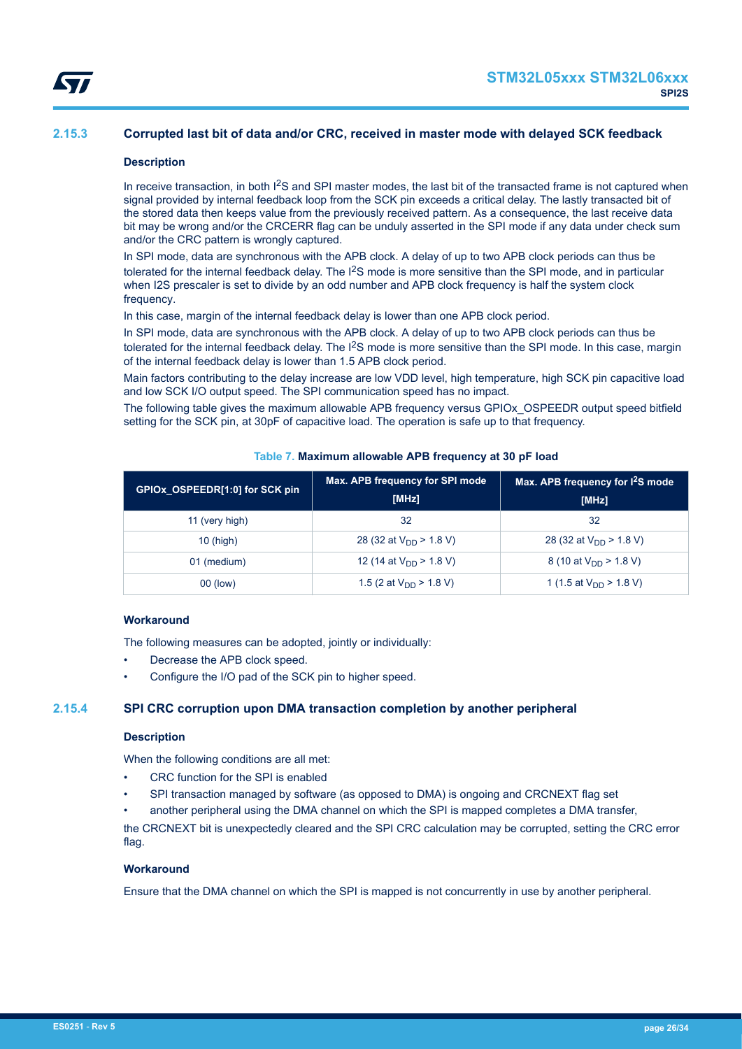# <span id="page-25-0"></span>**2.15.3 Corrupted last bit of data and/or CRC, received in master mode with delayed SCK feedback**

### **Description**

In receive transaction, in both  ${}^{12}S$  and SPI master modes, the last bit of the transacted frame is not captured when signal provided by internal feedback loop from the SCK pin exceeds a critical delay. The lastly transacted bit of the stored data then keeps value from the previously received pattern. As a consequence, the last receive data bit may be wrong and/or the CRCERR flag can be unduly asserted in the SPI mode if any data under check sum and/or the CRC pattern is wrongly captured.

In SPI mode, data are synchronous with the APB clock. A delay of up to two APB clock periods can thus be tolerated for the internal feedback delay. The I<sup>2</sup>S mode is more sensitive than the SPI mode, and in particular when I2S prescaler is set to divide by an odd number and APB clock frequency is half the system clock frequency.

In this case, margin of the internal feedback delay is lower than one APB clock period.

In SPI mode, data are synchronous with the APB clock. A delay of up to two APB clock periods can thus be tolerated for the internal feedback delay. The I<sup>2</sup>S mode is more sensitive than the SPI mode. In this case, margin of the internal feedback delay is lower than 1.5 APB clock period.

Main factors contributing to the delay increase are low VDD level, high temperature, high SCK pin capacitive load and low SCK I/O output speed. The SPI communication speed has no impact.

The following table gives the maximum allowable APB frequency versus GPIOx\_OSPEEDR output speed bitfield setting for the SCK pin, at 30pF of capacitive load. The operation is safe up to that frequency.

| GPIOx OSPEEDR[1:0] for SCK pin | Max. APB frequency for SPI mode<br>[MHz] | Max. APB frequency for I <sup>2</sup> S mode<br>[MHz] |
|--------------------------------|------------------------------------------|-------------------------------------------------------|
| 11 (very high)                 | 32                                       | 32                                                    |
| $10$ (high)                    | 28 (32 at $V_{DD}$ > 1.8 V)              | 28 (32 at $V_{DD}$ > 1.8 V)                           |
| 01 (medium)                    | 12 (14 at $V_{DD}$ > 1.8 V)              | 8 (10 at $V_{DD}$ > 1.8 V)                            |
| 00 (low)                       | 1.5 (2 at $V_{DD}$ > 1.8 V)              | 1 (1.5 at $V_{DD}$ > 1.8 V)                           |

# **Table 7. Maximum allowable APB frequency at 30 pF load**

# **Workaround**

The following measures can be adopted, jointly or individually:

- Decrease the APB clock speed.
- Configure the I/O pad of the SCK pin to higher speed.

# **2.15.4 SPI CRC corruption upon DMA transaction completion by another peripheral**

#### **Description**

When the following conditions are all met:

- CRC function for the SPI is enabled
- SPI transaction managed by software (as opposed to DMA) is ongoing and CRCNEXT flag set
- another peripheral using the DMA channel on which the SPI is mapped completes a DMA transfer,

the CRCNEXT bit is unexpectedly cleared and the SPI CRC calculation may be corrupted, setting the CRC error flag.

# **Workaround**

Ensure that the DMA channel on which the SPI is mapped is not concurrently in use by another peripheral.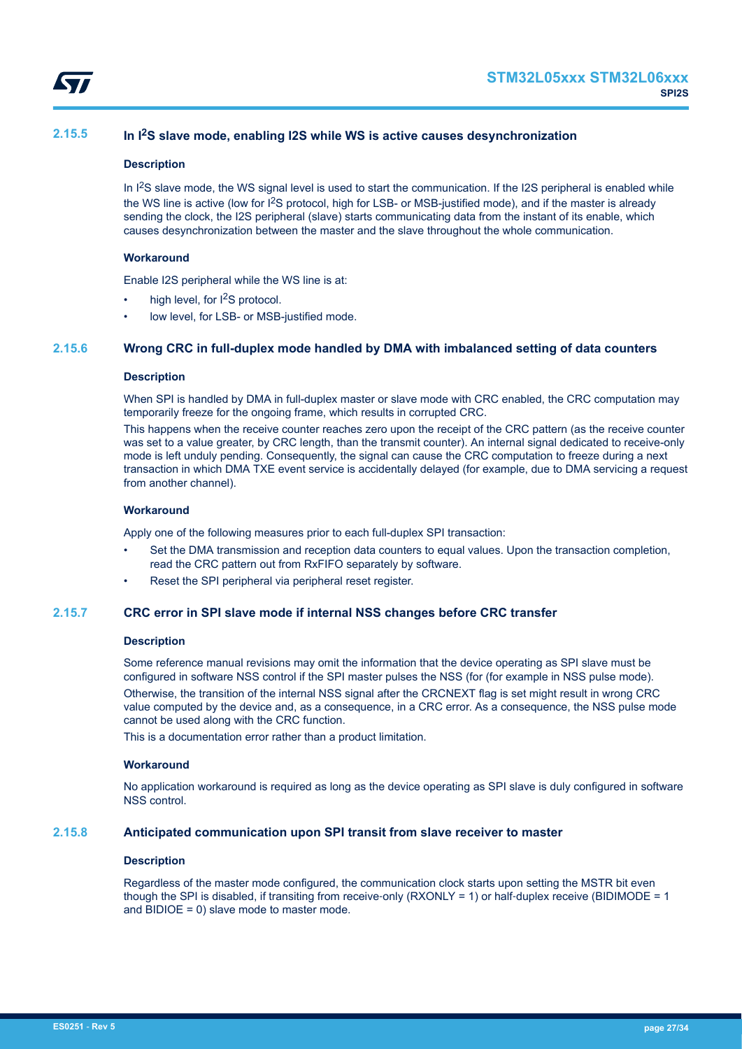<span id="page-26-0"></span>

# **2.15.5 In I2S slave mode, enabling I2S while WS is active causes desynchronization**

#### **Description**

In  $1<sup>2</sup>S$  slave mode, the WS signal level is used to start the communication. If the I2S peripheral is enabled while the WS line is active (low for  $^{12}S$  protocol, high for LSB- or MSB-justified mode), and if the master is already sending the clock, the I2S peripheral (slave) starts communicating data from the instant of its enable, which causes desynchronization between the master and the slave throughout the whole communication.

#### **Workaround**

Enable I2S peripheral while the WS line is at:

- high level, for I<sup>2</sup>S protocol.
- low level, for LSB- or MSB-justified mode.

# **2.15.6 Wrong CRC in full-duplex mode handled by DMA with imbalanced setting of data counters**

#### **Description**

When SPI is handled by DMA in full-duplex master or slave mode with CRC enabled, the CRC computation may temporarily freeze for the ongoing frame, which results in corrupted CRC.

This happens when the receive counter reaches zero upon the receipt of the CRC pattern (as the receive counter was set to a value greater, by CRC length, than the transmit counter). An internal signal dedicated to receive-only mode is left unduly pending. Consequently, the signal can cause the CRC computation to freeze during a next transaction in which DMA TXE event service is accidentally delayed (for example, due to DMA servicing a request from another channel).

# **Workaround**

Apply one of the following measures prior to each full-duplex SPI transaction:

- Set the DMA transmission and reception data counters to equal values. Upon the transaction completion, read the CRC pattern out from RxFIFO separately by software.
- Reset the SPI peripheral via peripheral reset register.

# **2.15.7 CRC error in SPI slave mode if internal NSS changes before CRC transfer**

#### **Description**

Some reference manual revisions may omit the information that the device operating as SPI slave must be configured in software NSS control if the SPI master pulses the NSS (for (for example in NSS pulse mode). Otherwise, the transition of the internal NSS signal after the CRCNEXT flag is set might result in wrong CRC value computed by the device and, as a consequence, in a CRC error. As a consequence, the NSS pulse mode cannot be used along with the CRC function.

This is a documentation error rather than a product limitation.

#### **Workaround**

No application workaround is required as long as the device operating as SPI slave is duly configured in software NSS control.

# **2.15.8 Anticipated communication upon SPI transit from slave receiver to master**

#### **Description**

Regardless of the master mode configured, the communication clock starts upon setting the MSTR bit even though the SPI is disabled, if transiting from receive-only (RXONLY = 1) or half-duplex receive (BIDIMODE = 1) and BIDIOE = 0) slave mode to master mode.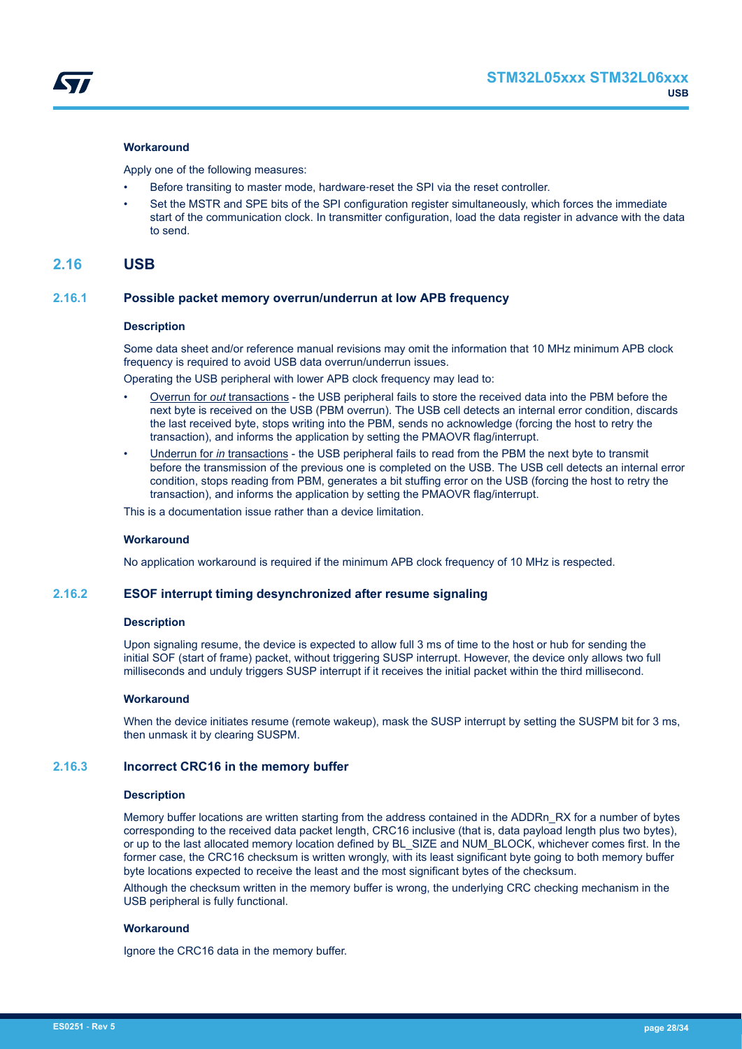<span id="page-27-0"></span>

#### **Workaround**

Apply one of the following measures:

- Before transiting to master mode, hardware‑reset the SPI via the reset controller.
- Set the MSTR and SPE bits of the SPI configuration register simultaneously, which forces the immediate start of the communication clock. In transmitter configuration, load the data register in advance with the data to send.

# **2.16 USB**

# **2.16.1 Possible packet memory overrun/underrun at low APB frequency**

#### **Description**

Some data sheet and/or reference manual revisions may omit the information that 10 MHz minimum APB clock frequency is required to avoid USB data overrun/underrun issues.

Operating the USB peripheral with lower APB clock frequency may lead to:

- Overrun for *out* transactions the USB peripheral fails to store the received data into the PBM before the next byte is received on the USB (PBM overrun). The USB cell detects an internal error condition, discards the last received byte, stops writing into the PBM, sends no acknowledge (forcing the host to retry the transaction), and informs the application by setting the PMAOVR flag/interrupt.
- Underrun for *in* transactions the USB peripheral fails to read from the PBM the next byte to transmit before the transmission of the previous one is completed on the USB. The USB cell detects an internal error condition, stops reading from PBM, generates a bit stuffing error on the USB (forcing the host to retry the transaction), and informs the application by setting the PMAOVR flag/interrupt.

This is a documentation issue rather than a device limitation.

### **Workaround**

No application workaround is required if the minimum APB clock frequency of 10 MHz is respected.

# **2.16.2 ESOF interrupt timing desynchronized after resume signaling**

#### **Description**

Upon signaling resume, the device is expected to allow full 3 ms of time to the host or hub for sending the initial SOF (start of frame) packet, without triggering SUSP interrupt. However, the device only allows two full milliseconds and unduly triggers SUSP interrupt if it receives the initial packet within the third millisecond.

#### **Workaround**

When the device initiates resume (remote wakeup), mask the SUSP interrupt by setting the SUSPM bit for 3 ms, then unmask it by clearing SUSPM.

#### **2.16.3 Incorrect CRC16 in the memory buffer**

#### **Description**

Memory buffer locations are written starting from the address contained in the ADDRn\_RX for a number of bytes corresponding to the received data packet length, CRC16 inclusive (that is, data payload length plus two bytes), or up to the last allocated memory location defined by BL\_SIZE and NUM\_BLOCK, whichever comes first. In the former case, the CRC16 checksum is written wrongly, with its least significant byte going to both memory buffer byte locations expected to receive the least and the most significant bytes of the checksum.

Although the checksum written in the memory buffer is wrong, the underlying CRC checking mechanism in the USB peripheral is fully functional.

#### **Workaround**

Ignore the CRC16 data in the memory buffer.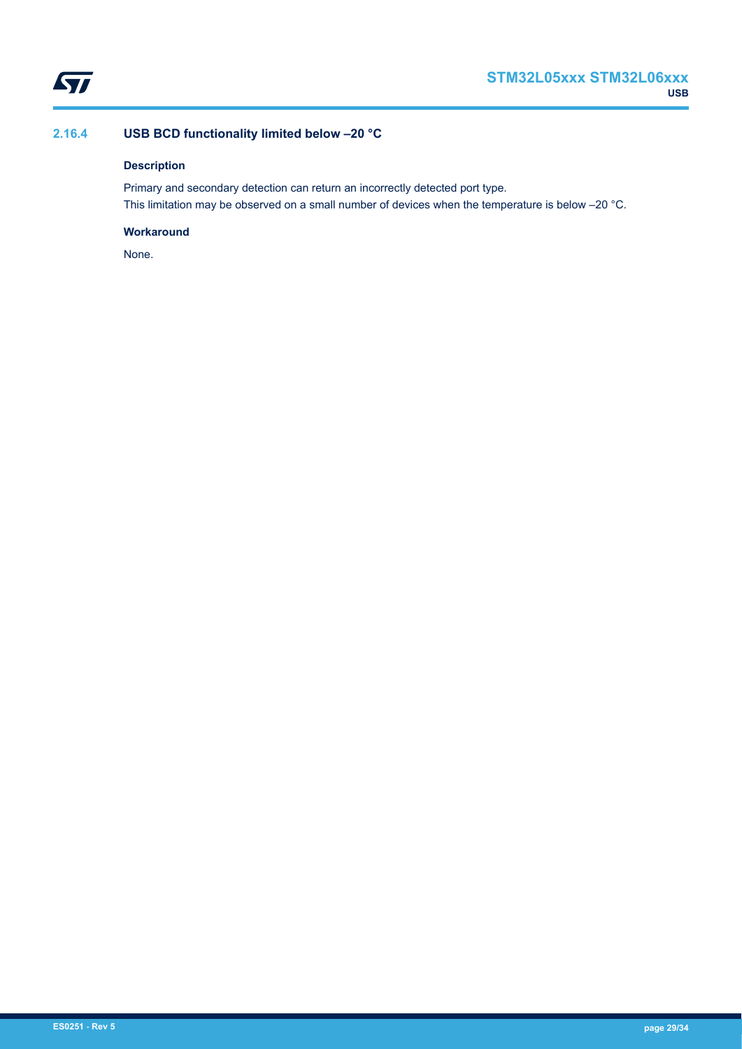<span id="page-28-0"></span>

# **2.16.4 USB BCD functionality limited below –20 °C**

# **Description**

Primary and secondary detection can return an incorrectly detected port type. This limitation may be observed on a small number of devices when the temperature is below –20 °C.

# **Workaround**

None.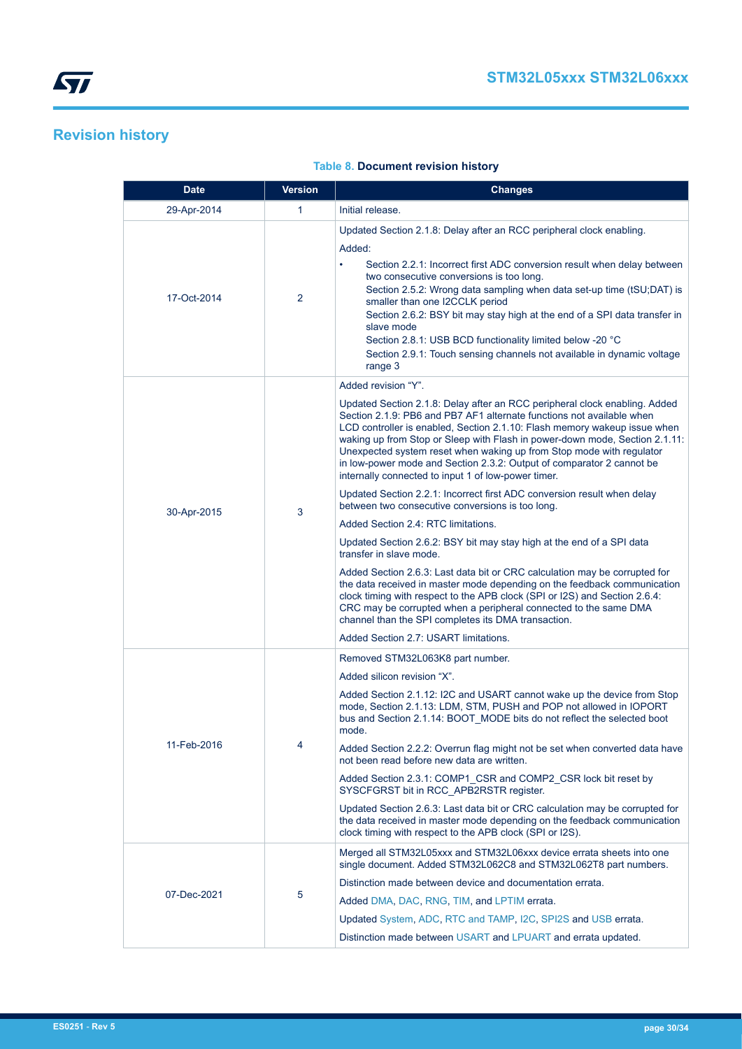# <span id="page-29-0"></span>**Revision history**

| <b>Date</b> | <b>Version</b> | <b>Changes</b>                                                                                                                                                                                                                                                                                                                                                                                                                                                                                                                                                                                                                                                                                                                                                                                                                                                                                                                                                                                                                                                                                                                                                                                                                       |
|-------------|----------------|--------------------------------------------------------------------------------------------------------------------------------------------------------------------------------------------------------------------------------------------------------------------------------------------------------------------------------------------------------------------------------------------------------------------------------------------------------------------------------------------------------------------------------------------------------------------------------------------------------------------------------------------------------------------------------------------------------------------------------------------------------------------------------------------------------------------------------------------------------------------------------------------------------------------------------------------------------------------------------------------------------------------------------------------------------------------------------------------------------------------------------------------------------------------------------------------------------------------------------------|
| 29-Apr-2014 | $\mathbf{1}$   | Initial release.                                                                                                                                                                                                                                                                                                                                                                                                                                                                                                                                                                                                                                                                                                                                                                                                                                                                                                                                                                                                                                                                                                                                                                                                                     |
| 17-Oct-2014 | 2              | Updated Section 2.1.8: Delay after an RCC peripheral clock enabling.<br>Added:<br>Section 2.2.1: Incorrect first ADC conversion result when delay between<br>$\bullet$<br>two consecutive conversions is too long.<br>Section 2.5.2: Wrong data sampling when data set-up time (tSU;DAT) is<br>smaller than one I2CCLK period<br>Section 2.6.2: BSY bit may stay high at the end of a SPI data transfer in<br>slave mode<br>Section 2.8.1: USB BCD functionality limited below -20 °C<br>Section 2.9.1: Touch sensing channels not available in dynamic voltage<br>range 3                                                                                                                                                                                                                                                                                                                                                                                                                                                                                                                                                                                                                                                           |
| 30-Apr-2015 | 3              | Added revision "Y".<br>Updated Section 2.1.8: Delay after an RCC peripheral clock enabling. Added<br>Section 2.1.9: PB6 and PB7 AF1 alternate functions not available when<br>LCD controller is enabled, Section 2.1.10: Flash memory wakeup issue when<br>waking up from Stop or Sleep with Flash in power-down mode, Section 2.1.11:<br>Unexpected system reset when waking up from Stop mode with regulator<br>in low-power mode and Section 2.3.2: Output of comparator 2 cannot be<br>internally connected to input 1 of low-power timer.<br>Updated Section 2.2.1: Incorrect first ADC conversion result when delay<br>between two consecutive conversions is too long.<br>Added Section 2.4: RTC limitations.<br>Updated Section 2.6.2: BSY bit may stay high at the end of a SPI data<br>transfer in slave mode.<br>Added Section 2.6.3: Last data bit or CRC calculation may be corrupted for<br>the data received in master mode depending on the feedback communication<br>clock timing with respect to the APB clock (SPI or I2S) and Section 2.6.4:<br>CRC may be corrupted when a peripheral connected to the same DMA<br>channel than the SPI completes its DMA transaction.<br>Added Section 2.7: USART limitations. |
| 11-Feb-2016 | 4              | Removed STM32L063K8 part number.<br>Added silicon revision "X".<br>Added Section 2.1.12: I2C and USART cannot wake up the device from Stop<br>mode, Section 2.1.13: LDM, STM, PUSH and POP not allowed in IOPORT<br>bus and Section 2.1.14: BOOT_MODE bits do not reflect the selected boot<br>mode.<br>Added Section 2.2.2: Overrun flag might not be set when converted data have<br>not been read before new data are written.<br>Added Section 2.3.1: COMP1_CSR and COMP2_CSR lock bit reset by<br>SYSCFGRST bit in RCC_APB2RSTR register.<br>Updated Section 2.6.3: Last data bit or CRC calculation may be corrupted for<br>the data received in master mode depending on the feedback communication<br>clock timing with respect to the APB clock (SPI or I2S).                                                                                                                                                                                                                                                                                                                                                                                                                                                               |
| 07-Dec-2021 | 5              | Merged all STM32L05xxx and STM32L06xxx device errata sheets into one<br>single document. Added STM32L062C8 and STM32L062T8 part numbers.<br>Distinction made between device and documentation errata.<br>Added DMA, DAC, RNG, TIM, and LPTIM errata.<br>Updated System, ADC, RTC and TAMP, I2C, SPI2S and USB errata.<br>Distinction made between USART and LPUART and errata updated.                                                                                                                                                                                                                                                                                                                                                                                                                                                                                                                                                                                                                                                                                                                                                                                                                                               |

# **Table 8. Document revision history**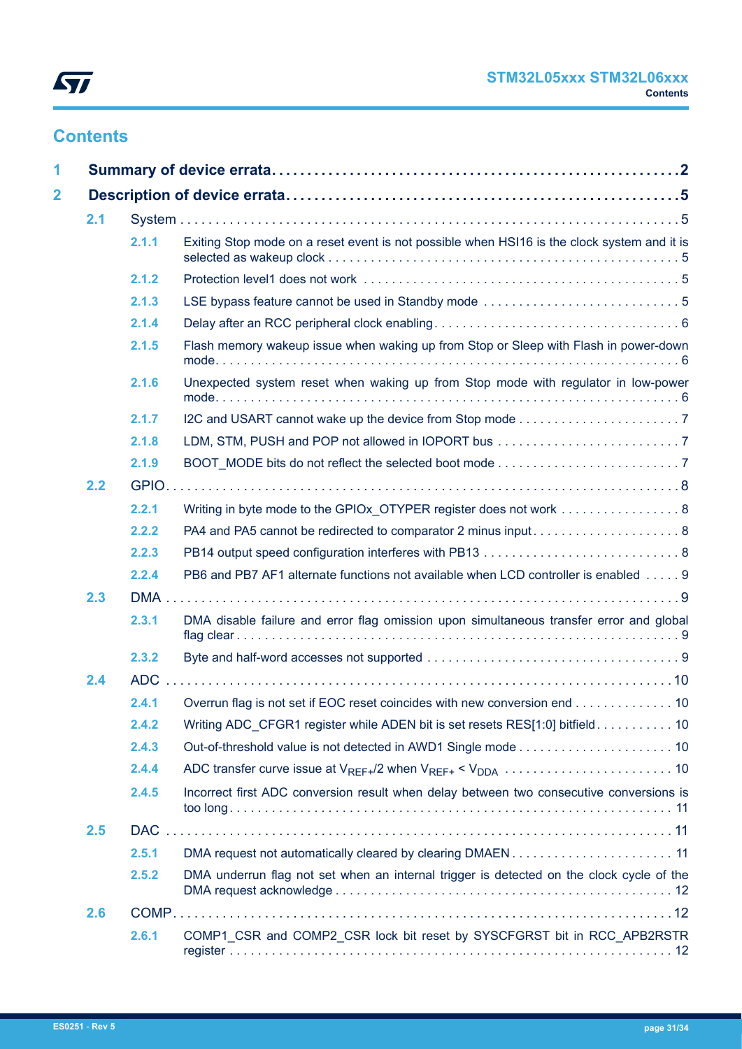

# **Contents**

| 1                       |     |       |                                                                                             |  |
|-------------------------|-----|-------|---------------------------------------------------------------------------------------------|--|
| $\overline{\mathbf{2}}$ |     |       |                                                                                             |  |
|                         | 2.1 |       |                                                                                             |  |
|                         |     | 2.1.1 | Exiting Stop mode on a reset event is not possible when HSI16 is the clock system and it is |  |
|                         |     | 2.1.2 |                                                                                             |  |
|                         |     | 2.1.3 |                                                                                             |  |
|                         |     | 2.1.4 |                                                                                             |  |
|                         |     | 2.1.5 | Flash memory wakeup issue when waking up from Stop or Sleep with Flash in power-down        |  |
|                         |     | 2.1.6 | Unexpected system reset when waking up from Stop mode with regulator in low-power           |  |
|                         |     | 2.1.7 |                                                                                             |  |
|                         |     | 2.1.8 |                                                                                             |  |
|                         |     | 2.1.9 |                                                                                             |  |
|                         | 2.2 |       |                                                                                             |  |
|                         |     | 2.2.1 | Writing in byte mode to the GPIOx_OTYPER register does not work  8                          |  |
|                         |     | 2.2.2 |                                                                                             |  |
|                         |     | 2.2.3 |                                                                                             |  |
|                         |     | 2.2.4 | PB6 and PB7 AF1 alternate functions not available when LCD controller is enabled 9          |  |
|                         | 2.3 |       |                                                                                             |  |
|                         |     | 2.3.1 | DMA disable failure and error flag omission upon simultaneous transfer error and global     |  |
|                         |     | 2.3.2 |                                                                                             |  |
|                         | 2.4 |       |                                                                                             |  |
|                         |     | 2.4.1 | Overrun flag is not set if EOC reset coincides with new conversion end 10                   |  |
|                         |     | 2.4.2 | Writing ADC CFGR1 register while ADEN bit is set resets RES[1:0] bitfield 10                |  |
|                         |     | 2.4.3 |                                                                                             |  |
|                         |     | 2.4.4 |                                                                                             |  |
|                         |     | 2.4.5 | Incorrect first ADC conversion result when delay between two consecutive conversions is     |  |
|                         | 2.5 |       |                                                                                             |  |
|                         |     | 2.5.1 | DMA request not automatically cleared by clearing DMAEN11                                   |  |
|                         |     | 2.5.2 | DMA underrun flag not set when an internal trigger is detected on the clock cycle of the    |  |
|                         | 2.6 |       |                                                                                             |  |
|                         |     | 2.6.1 | COMP1 CSR and COMP2 CSR lock bit reset by SYSCFGRST bit in RCC APB2RSTR                     |  |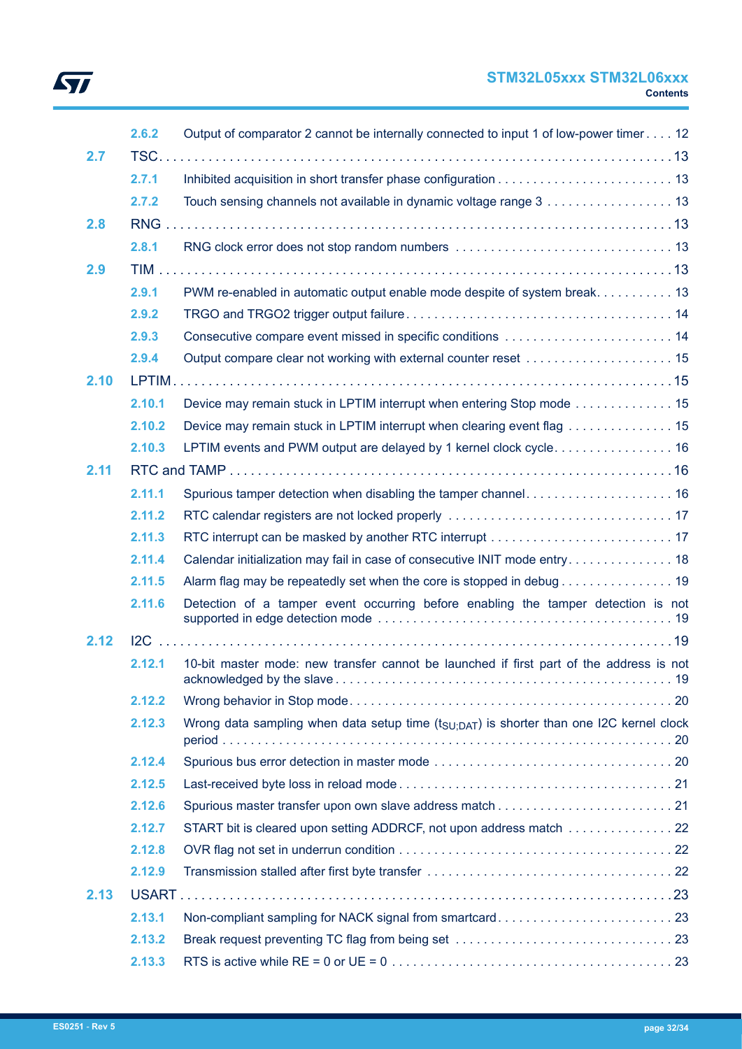# **STM32L05xxx STM32L06xxx Contents**

| 2.7  | 2.6.2  | Output of comparator 2 cannot be internally connected to input 1 of low-power timer 12              |  |
|------|--------|-----------------------------------------------------------------------------------------------------|--|
|      | 2.7.1  |                                                                                                     |  |
|      | 2.7.2  | Touch sensing channels not available in dynamic voltage range 3 13                                  |  |
| 2.8  |        |                                                                                                     |  |
|      | 2.8.1  |                                                                                                     |  |
| 2.9  |        |                                                                                                     |  |
|      | 2.9.1  | PWM re-enabled in automatic output enable mode despite of system break. 13                          |  |
|      | 2.9.2  |                                                                                                     |  |
|      | 2.9.3  | Consecutive compare event missed in specific conditions  14                                         |  |
|      | 2.9.4  | Output compare clear not working with external counter reset  15                                    |  |
| 2.10 |        |                                                                                                     |  |
|      | 2.10.1 | Device may remain stuck in LPTIM interrupt when entering Stop mode 15                               |  |
|      | 2.10.2 | Device may remain stuck in LPTIM interrupt when clearing event flag 15                              |  |
|      | 2.10.3 | LPTIM events and PWM output are delayed by 1 kernel clock cycle. 16                                 |  |
| 2.11 |        |                                                                                                     |  |
|      | 2.11.1 | Spurious tamper detection when disabling the tamper channel 16                                      |  |
|      | 2.11.2 |                                                                                                     |  |
|      | 2.11.3 |                                                                                                     |  |
|      | 2.11.4 | Calendar initialization may fail in case of consecutive INIT mode entry 18                          |  |
|      | 2.11.5 | Alarm flag may be repeatedly set when the core is stopped in debug 19                               |  |
|      | 2.11.6 | Detection of a tamper event occurring before enabling the tamper detection is not                   |  |
| 2.12 |        |                                                                                                     |  |
|      | 2.12.1 | 10-bit master mode: new transfer cannot be launched if first part of the address is not             |  |
|      | 2.12.2 |                                                                                                     |  |
|      | 2.12.3 | Wrong data sampling when data setup time $(t_{\text{SU:DAT}})$ is shorter than one I2C kernel clock |  |
|      | 2.12.4 |                                                                                                     |  |
|      | 2.12.5 |                                                                                                     |  |
|      | 2.12.6 |                                                                                                     |  |
|      | 2.12.7 | START bit is cleared upon setting ADDRCF, not upon address match  22                                |  |
|      | 2.12.8 |                                                                                                     |  |
|      | 2.12.9 |                                                                                                     |  |
| 2.13 |        |                                                                                                     |  |
|      | 2.13.1 | Non-compliant sampling for NACK signal from smartcard23                                             |  |
|      | 2.13.2 |                                                                                                     |  |
|      | 2.13.3 |                                                                                                     |  |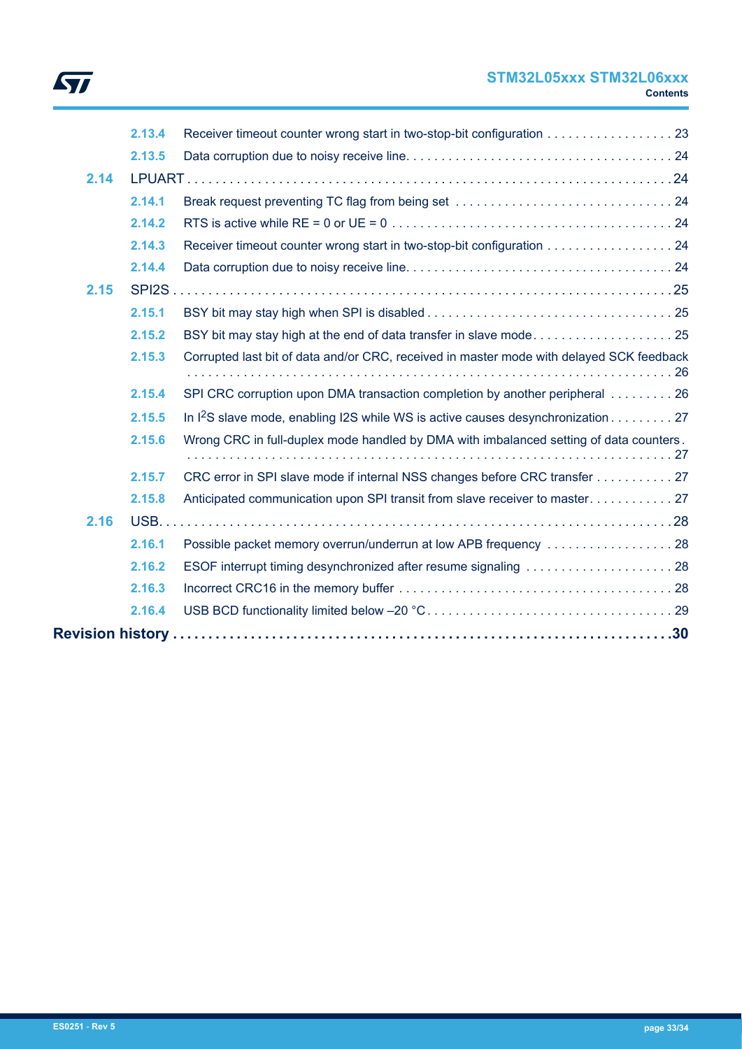

# **STM32L05xxx STM32L06xxx Contents**

| 2.13.4<br>Receiver timeout counter wrong start in two-stop-bit configuration 23                       |  |
|-------------------------------------------------------------------------------------------------------|--|
| 2.13.5                                                                                                |  |
| 2.14                                                                                                  |  |
| 2.14.1                                                                                                |  |
| 2.14.2                                                                                                |  |
| Receiver timeout counter wrong start in two-stop-bit configuration 24<br>2.14.3                       |  |
| 2.14.4                                                                                                |  |
| 2.15                                                                                                  |  |
| 2.15.1                                                                                                |  |
| BSY bit may stay high at the end of data transfer in slave mode25<br>2.15.2                           |  |
| Corrupted last bit of data and/or CRC, received in master mode with delayed SCK feedback<br>2.15.3    |  |
| 2.15.4<br>SPI CRC corruption upon DMA transaction completion by another peripheral 26                 |  |
| In I <sup>2</sup> S slave mode, enabling I2S while WS is active causes desynchronization 27<br>2.15.5 |  |
| Wrong CRC in full-duplex mode handled by DMA with imbalanced setting of data counters.<br>2.15.6      |  |
| 2.15.7<br>CRC error in SPI slave mode if internal NSS changes before CRC transfer 27                  |  |
| 2.15.8                                                                                                |  |
| 2.16                                                                                                  |  |
| 2.16.1<br>Possible packet memory overrun/underrun at low APB frequency 28                             |  |
| ESOF interrupt timing desynchronized after resume signaling 28<br>2.16.2                              |  |
| 2.16.3                                                                                                |  |
| 2.16.4                                                                                                |  |
|                                                                                                       |  |